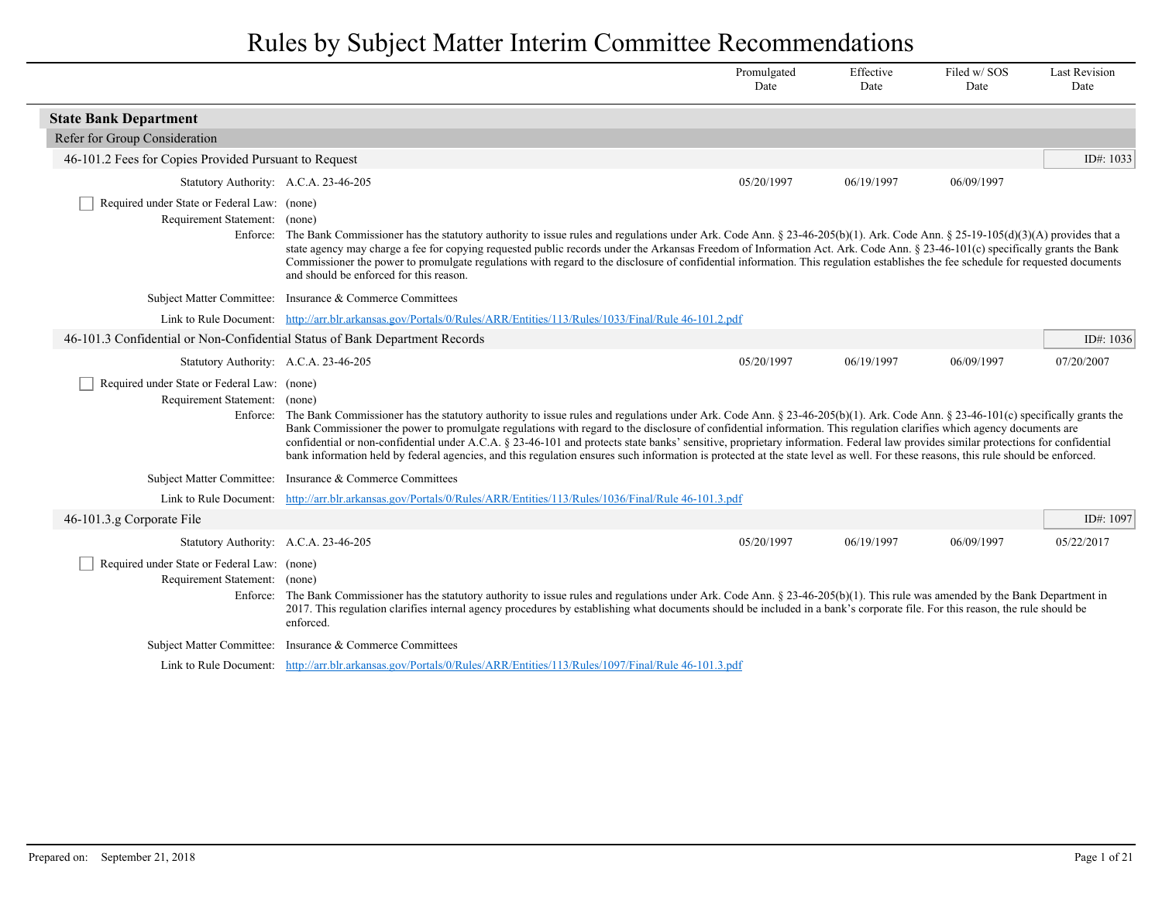|                                                                                          |                                                                                                                                                                                                                                                                                                                                                                                                                                                                                                                                                                                                                                                                                                                                                   | Promulgated<br>Date | Effective<br>Date | Filed w/SOS<br>Date | <b>Last Revision</b><br>Date |
|------------------------------------------------------------------------------------------|---------------------------------------------------------------------------------------------------------------------------------------------------------------------------------------------------------------------------------------------------------------------------------------------------------------------------------------------------------------------------------------------------------------------------------------------------------------------------------------------------------------------------------------------------------------------------------------------------------------------------------------------------------------------------------------------------------------------------------------------------|---------------------|-------------------|---------------------|------------------------------|
| <b>State Bank Department</b>                                                             |                                                                                                                                                                                                                                                                                                                                                                                                                                                                                                                                                                                                                                                                                                                                                   |                     |                   |                     |                              |
| Refer for Group Consideration                                                            |                                                                                                                                                                                                                                                                                                                                                                                                                                                                                                                                                                                                                                                                                                                                                   |                     |                   |                     |                              |
| 46-101.2 Fees for Copies Provided Pursuant to Request                                    |                                                                                                                                                                                                                                                                                                                                                                                                                                                                                                                                                                                                                                                                                                                                                   |                     |                   |                     | ID#: $1033$                  |
| Statutory Authority: A.C.A. 23-46-205                                                    |                                                                                                                                                                                                                                                                                                                                                                                                                                                                                                                                                                                                                                                                                                                                                   | 05/20/1997          | 06/19/1997        | 06/09/1997          |                              |
| Required under State or Federal Law: (none)<br>Requirement Statement: (none)             | Enforce: The Bank Commissioner has the statutory authority to issue rules and regulations under Ark. Code Ann. § 23-46-205(b)(1). Ark. Code Ann. § 25-19-105(d)(3)(A) provides that a<br>state agency may charge a fee for copying requested public records under the Arkansas Freedom of Information Act. Ark. Code Ann. § 23-46-101(c) specifically grants the Bank<br>Commissioner the power to promulgate regulations with regard to the disclosure of confidential information. This regulation establishes the fee schedule for requested documents<br>and should be enforced for this reason.                                                                                                                                              |                     |                   |                     |                              |
|                                                                                          | Subject Matter Committee: Insurance & Commerce Committees                                                                                                                                                                                                                                                                                                                                                                                                                                                                                                                                                                                                                                                                                         |                     |                   |                     |                              |
|                                                                                          | Link to Rule Document: http://arr.blr.arkansas.gov/Portals/0/Rules/ARR/Entities/113/Rules/1033/Final/Rule 46-101.2.pdf                                                                                                                                                                                                                                                                                                                                                                                                                                                                                                                                                                                                                            |                     |                   |                     |                              |
| 46-101.3 Confidential or Non-Confidential Status of Bank Department Records              |                                                                                                                                                                                                                                                                                                                                                                                                                                                                                                                                                                                                                                                                                                                                                   |                     |                   |                     | ID#: 1036                    |
| Statutory Authority: A.C.A. 23-46-205                                                    |                                                                                                                                                                                                                                                                                                                                                                                                                                                                                                                                                                                                                                                                                                                                                   | 05/20/1997          | 06/19/1997        | 06/09/1997          | 07/20/2007                   |
| Required under State or Federal Law: (none)<br>Requirement Statement: (none)             | Enforce: The Bank Commissioner has the statutory authority to issue rules and regulations under Ark. Code Ann. $\S 23-46-205(b)(1)$ . Ark. Code Ann. $\S 23-46-101(c)$ specifically grants the<br>Bank Commissioner the power to promulgate regulations with regard to the disclosure of confidential information. This regulation clarifies which agency documents are<br>confidential or non-confidential under A.C.A. § 23-46-101 and protects state banks' sensitive, proprietary information. Federal law provides similar protections for confidential<br>bank information held by federal agencies, and this regulation ensures such information is protected at the state level as well. For these reasons, this rule should be enforced. |                     |                   |                     |                              |
| <b>Subject Matter Committee:</b>                                                         | Insurance & Commerce Committees                                                                                                                                                                                                                                                                                                                                                                                                                                                                                                                                                                                                                                                                                                                   |                     |                   |                     |                              |
|                                                                                          | Link to Rule Document: http://arr.blr.arkansas.gov/Portals/0/Rules/ARR/Entities/113/Rules/1036/Final/Rule 46-101.3.pdf                                                                                                                                                                                                                                                                                                                                                                                                                                                                                                                                                                                                                            |                     |                   |                     |                              |
| 46-101.3.g Corporate File                                                                |                                                                                                                                                                                                                                                                                                                                                                                                                                                                                                                                                                                                                                                                                                                                                   |                     |                   |                     | ID#: 1097                    |
| Statutory Authority: A.C.A. 23-46-205                                                    |                                                                                                                                                                                                                                                                                                                                                                                                                                                                                                                                                                                                                                                                                                                                                   | 05/20/1997          | 06/19/1997        | 06/09/1997          | 05/22/2017                   |
| Required under State or Federal Law: (none)<br>Requirement Statement: (none)<br>Enforce: | The Bank Commissioner has the statutory authority to issue rules and regulations under Ark. Code Ann. § 23-46-205(b)(1). This rule was amended by the Bank Department in<br>2017. This regulation clarifies internal agency procedures by establishing what documents should be included in a bank's corporate file. For this reason, the rule should be<br>enforced.                                                                                                                                                                                                                                                                                                                                                                             |                     |                   |                     |                              |
|                                                                                          | Subject Matter Committee: Insurance & Commerce Committees                                                                                                                                                                                                                                                                                                                                                                                                                                                                                                                                                                                                                                                                                         |                     |                   |                     |                              |
|                                                                                          | Link to Rule Document: http://arr.blr.arkansas.gov/Portals/0/Rules/ARR/Entities/113/Rules/1097/Final/Rule 46-101.3.pdf                                                                                                                                                                                                                                                                                                                                                                                                                                                                                                                                                                                                                            |                     |                   |                     |                              |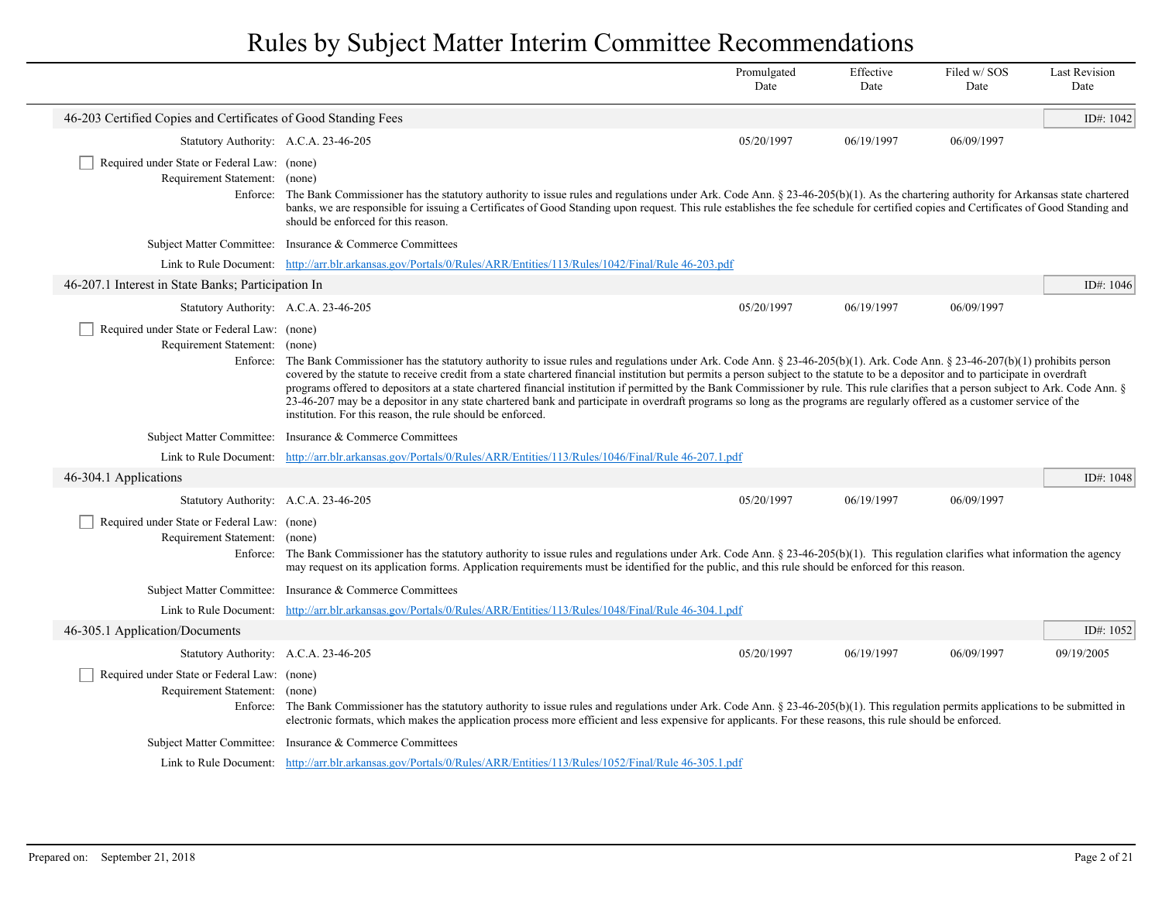|                                                                              |                                                                                                                                                                                                                                                                                                                                                                                                                                                                                                                                                                                                                                                                                                                                                                                                                 | Promulgated<br>Date | Effective<br>Date | Filed w/SOS<br>Date | <b>Last Revision</b><br>Date |
|------------------------------------------------------------------------------|-----------------------------------------------------------------------------------------------------------------------------------------------------------------------------------------------------------------------------------------------------------------------------------------------------------------------------------------------------------------------------------------------------------------------------------------------------------------------------------------------------------------------------------------------------------------------------------------------------------------------------------------------------------------------------------------------------------------------------------------------------------------------------------------------------------------|---------------------|-------------------|---------------------|------------------------------|
| 46-203 Certified Copies and Certificates of Good Standing Fees               |                                                                                                                                                                                                                                                                                                                                                                                                                                                                                                                                                                                                                                                                                                                                                                                                                 |                     |                   |                     | ID#: 1042                    |
| Statutory Authority: A.C.A. 23-46-205                                        |                                                                                                                                                                                                                                                                                                                                                                                                                                                                                                                                                                                                                                                                                                                                                                                                                 | 05/20/1997          | 06/19/1997        | 06/09/1997          |                              |
| Required under State or Federal Law: (none)<br>Requirement Statement: (none) | Enforce: The Bank Commissioner has the statutory authority to issue rules and regulations under Ark. Code Ann. § 23-46-205(b)(1). As the chartering authority for Arkansas state chartered<br>banks, we are responsible for issuing a Certificates of Good Standing upon request. This rule establishes the fee schedule for certified copies and Certificates of Good Standing and<br>should be enforced for this reason.                                                                                                                                                                                                                                                                                                                                                                                      |                     |                   |                     |                              |
|                                                                              | Subject Matter Committee: Insurance & Commerce Committees                                                                                                                                                                                                                                                                                                                                                                                                                                                                                                                                                                                                                                                                                                                                                       |                     |                   |                     |                              |
|                                                                              | Link to Rule Document: http://arr.blr.arkansas.gov/Portals/0/Rules/ARR/Entities/113/Rules/1042/Final/Rule 46-203.pdf                                                                                                                                                                                                                                                                                                                                                                                                                                                                                                                                                                                                                                                                                            |                     |                   |                     |                              |
| 46-207.1 Interest in State Banks; Participation In                           |                                                                                                                                                                                                                                                                                                                                                                                                                                                                                                                                                                                                                                                                                                                                                                                                                 |                     |                   |                     | ID#: 1046                    |
| Statutory Authority: A.C.A. 23-46-205                                        |                                                                                                                                                                                                                                                                                                                                                                                                                                                                                                                                                                                                                                                                                                                                                                                                                 | 05/20/1997          | 06/19/1997        | 06/09/1997          |                              |
| Required under State or Federal Law: (none)<br>Requirement Statement: (none) | Enforce: The Bank Commissioner has the statutory authority to issue rules and regulations under Ark. Code Ann. § 23-46-205(b)(1). Ark. Code Ann. § 23-46-207(b)(1) prohibits person<br>covered by the statute to receive credit from a state chartered financial institution but permits a person subject to the statute to be a depositor and to participate in overdraft<br>programs offered to depositors at a state chartered financial institution if permitted by the Bank Commissioner by rule. This rule clarifies that a person subject to Ark. Code Ann. §<br>23-46-207 may be a depositor in any state chartered bank and participate in overdraft programs so long as the programs are regularly offered as a customer service of the<br>institution. For this reason, the rule should be enforced. |                     |                   |                     |                              |
|                                                                              | Subject Matter Committee: Insurance & Commerce Committees                                                                                                                                                                                                                                                                                                                                                                                                                                                                                                                                                                                                                                                                                                                                                       |                     |                   |                     |                              |
|                                                                              | Link to Rule Document: http://arr.blr.arkansas.gov/Portals/0/Rules/ARR/Entities/113/Rules/1046/Final/Rule 46-207.1.pdf                                                                                                                                                                                                                                                                                                                                                                                                                                                                                                                                                                                                                                                                                          |                     |                   |                     |                              |
| 46-304.1 Applications                                                        |                                                                                                                                                                                                                                                                                                                                                                                                                                                                                                                                                                                                                                                                                                                                                                                                                 |                     |                   |                     | ID#: 1048                    |
| Statutory Authority: A.C.A. 23-46-205                                        |                                                                                                                                                                                                                                                                                                                                                                                                                                                                                                                                                                                                                                                                                                                                                                                                                 | 05/20/1997          | 06/19/1997        | 06/09/1997          |                              |
| Required under State or Federal Law: (none)<br>Requirement Statement: (none) | Enforce: The Bank Commissioner has the statutory authority to issue rules and regulations under Ark. Code Ann. $\S 23-46-205(b)(1)$ . This regulation clarifies what information the agency<br>may request on its application forms. Application requirements must be identified for the public, and this rule should be enforced for this reason.                                                                                                                                                                                                                                                                                                                                                                                                                                                              |                     |                   |                     |                              |
|                                                                              | Subject Matter Committee: Insurance & Commerce Committees                                                                                                                                                                                                                                                                                                                                                                                                                                                                                                                                                                                                                                                                                                                                                       |                     |                   |                     |                              |
|                                                                              | Link to Rule Document: http://arr.blr.arkansas.gov/Portals/0/Rules/ARR/Entities/113/Rules/1048/Final/Rule 46-304.1.pdf                                                                                                                                                                                                                                                                                                                                                                                                                                                                                                                                                                                                                                                                                          |                     |                   |                     |                              |
| 46-305.1 Application/Documents                                               |                                                                                                                                                                                                                                                                                                                                                                                                                                                                                                                                                                                                                                                                                                                                                                                                                 |                     |                   |                     | ID#: 1052                    |
| Statutory Authority: A.C.A. 23-46-205                                        |                                                                                                                                                                                                                                                                                                                                                                                                                                                                                                                                                                                                                                                                                                                                                                                                                 | 05/20/1997          | 06/19/1997        | 06/09/1997          | 09/19/2005                   |
| Required under State or Federal Law: (none)<br>Requirement Statement: (none) | Enforce: The Bank Commissioner has the statutory authority to issue rules and regulations under Ark. Code Ann. § 23-46-205(b)(1). This regulation permits applications to be submitted in<br>electronic formats, which makes the application process more efficient and less expensive for applicants. For these reasons, this rule should be enforced.                                                                                                                                                                                                                                                                                                                                                                                                                                                         |                     |                   |                     |                              |
|                                                                              | Subject Matter Committee: Insurance & Commerce Committees                                                                                                                                                                                                                                                                                                                                                                                                                                                                                                                                                                                                                                                                                                                                                       |                     |                   |                     |                              |
|                                                                              | Link to Rule Document: http://arr.blr.arkansas.gov/Portals/0/Rules/ARR/Entities/113/Rules/1052/Final/Rule 46-305.1.pdf                                                                                                                                                                                                                                                                                                                                                                                                                                                                                                                                                                                                                                                                                          |                     |                   |                     |                              |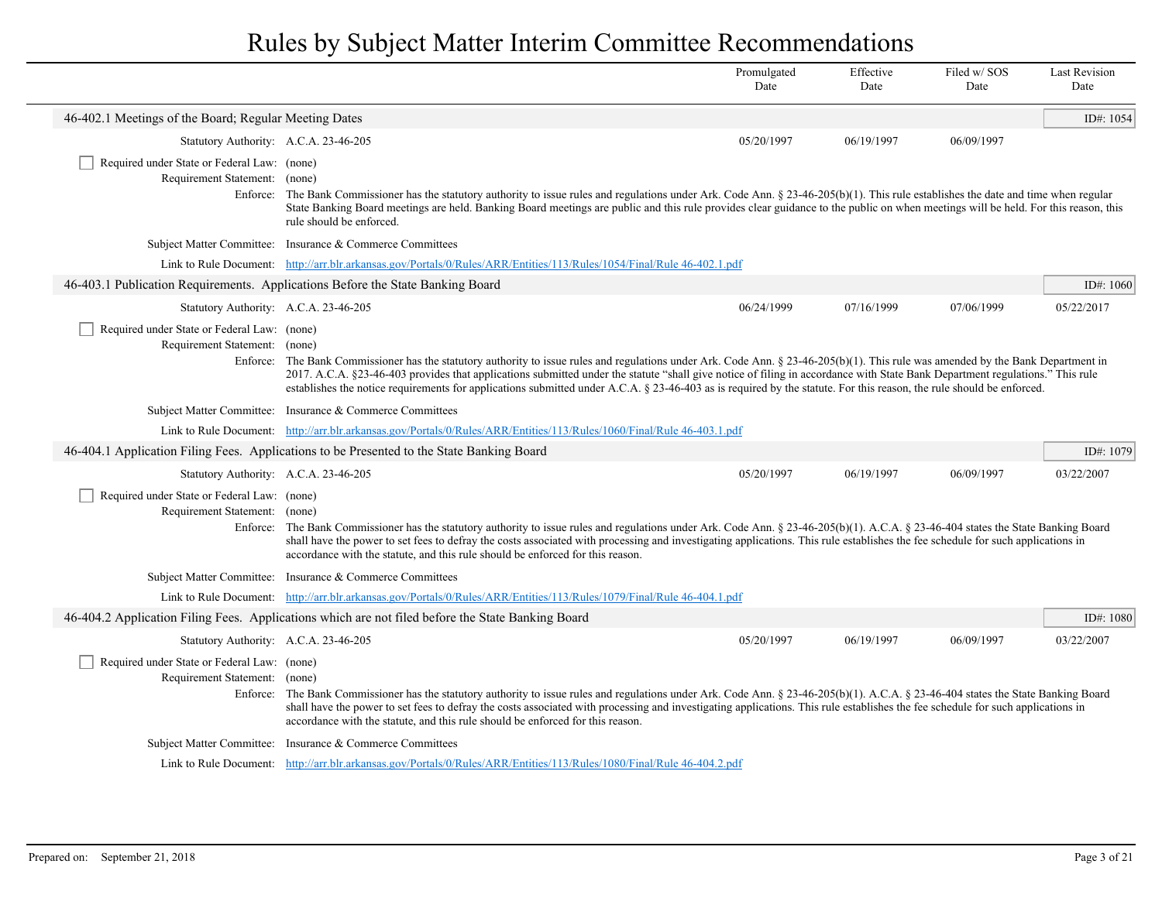|                                                                              |                                                                                                                                                                                                                                                                                                                                                                                                                                                                                                                                               | Promulgated<br>Date | Effective<br>Date | Filed w/SOS<br>Date | <b>Last Revision</b><br>Date |
|------------------------------------------------------------------------------|-----------------------------------------------------------------------------------------------------------------------------------------------------------------------------------------------------------------------------------------------------------------------------------------------------------------------------------------------------------------------------------------------------------------------------------------------------------------------------------------------------------------------------------------------|---------------------|-------------------|---------------------|------------------------------|
| 46-402.1 Meetings of the Board; Regular Meeting Dates                        |                                                                                                                                                                                                                                                                                                                                                                                                                                                                                                                                               |                     |                   |                     | ID#: 1054                    |
| Statutory Authority: A.C.A. 23-46-205                                        |                                                                                                                                                                                                                                                                                                                                                                                                                                                                                                                                               | 05/20/1997          | 06/19/1997        | 06/09/1997          |                              |
| Required under State or Federal Law: (none)<br>Requirement Statement: (none) | Enforce: The Bank Commissioner has the statutory authority to issue rules and regulations under Ark. Code Ann. $\S 23-46-205(b)(1)$ . This rule establishes the date and time when regular<br>State Banking Board meetings are held. Banking Board meetings are public and this rule provides clear guidance to the public on when meetings will be held. For this reason, this<br>rule should be enforced.                                                                                                                                   |                     |                   |                     |                              |
|                                                                              | Subject Matter Committee: Insurance & Commerce Committees                                                                                                                                                                                                                                                                                                                                                                                                                                                                                     |                     |                   |                     |                              |
|                                                                              | Link to Rule Document: http://arr.blr.arkansas.gov/Portals/0/Rules/ARR/Entities/113/Rules/1054/Final/Rule 46-402.1.pdf                                                                                                                                                                                                                                                                                                                                                                                                                        |                     |                   |                     |                              |
|                                                                              | 46-403.1 Publication Requirements. Applications Before the State Banking Board                                                                                                                                                                                                                                                                                                                                                                                                                                                                |                     |                   |                     | ID#: $1060$                  |
| Statutory Authority: A.C.A. 23-46-205                                        |                                                                                                                                                                                                                                                                                                                                                                                                                                                                                                                                               | 06/24/1999          | 07/16/1999        | 07/06/1999          | 05/22/2017                   |
| Required under State or Federal Law: (none)<br>Requirement Statement: (none) | Enforce: The Bank Commissioner has the statutory authority to issue rules and regulations under Ark. Code Ann. $\S 23-46-205(b)(1)$ . This rule was amended by the Bank Department in<br>2017. A.C.A. §23-46-403 provides that applications submitted under the statute "shall give notice of filing in accordance with State Bank Department regulations." This rule<br>establishes the notice requirements for applications submitted under A.C.A. § 23-46-403 as is required by the statute. For this reason, the rule should be enforced. |                     |                   |                     |                              |
|                                                                              | Subject Matter Committee: Insurance & Commerce Committees                                                                                                                                                                                                                                                                                                                                                                                                                                                                                     |                     |                   |                     |                              |
|                                                                              | Link to Rule Document: http://arr.blr.arkansas.gov/Portals/0/Rules/ARR/Entities/113/Rules/1060/Final/Rule 46-403.1.pdf                                                                                                                                                                                                                                                                                                                                                                                                                        |                     |                   |                     |                              |
|                                                                              | 46-404.1 Application Filing Fees. Applications to be Presented to the State Banking Board                                                                                                                                                                                                                                                                                                                                                                                                                                                     |                     |                   |                     | ID#: 1079                    |
| Statutory Authority: A.C.A. 23-46-205                                        |                                                                                                                                                                                                                                                                                                                                                                                                                                                                                                                                               | 05/20/1997          | 06/19/1997        | 06/09/1997          | 03/22/2007                   |
| Required under State or Federal Law: (none)<br>Requirement Statement: (none) | Enforce: The Bank Commissioner has the statutory authority to issue rules and regulations under Ark. Code Ann. § 23-46-205(b)(1). A.C.A. § 23-46-404 states the State Banking Board<br>shall have the power to set fees to defray the costs associated with processing and investigating applications. This rule establishes the fee schedule for such applications in<br>accordance with the statute, and this rule should be enforced for this reason.                                                                                      |                     |                   |                     |                              |
|                                                                              | Subject Matter Committee: Insurance & Commerce Committees                                                                                                                                                                                                                                                                                                                                                                                                                                                                                     |                     |                   |                     |                              |
|                                                                              | Link to Rule Document: http://arr.blr.arkansas.gov/Portals/0/Rules/ARR/Entities/113/Rules/1079/Final/Rule 46-404.1.pdf                                                                                                                                                                                                                                                                                                                                                                                                                        |                     |                   |                     |                              |
|                                                                              | 46-404.2 Application Filing Fees. Applications which are not filed before the State Banking Board                                                                                                                                                                                                                                                                                                                                                                                                                                             |                     |                   |                     | ID#: 1080                    |
| Statutory Authority: A.C.A. 23-46-205                                        |                                                                                                                                                                                                                                                                                                                                                                                                                                                                                                                                               | 05/20/1997          | 06/19/1997        | 06/09/1997          | 03/22/2007                   |
| Required under State or Federal Law: (none)<br>Requirement Statement: (none) | Enforce: The Bank Commissioner has the statutory authority to issue rules and regulations under Ark. Code Ann. § 23-46-205(b)(1). A.C.A. § 23-46-404 states the State Banking Board<br>shall have the power to set fees to defray the costs associated with processing and investigating applications. This rule establishes the fee schedule for such applications in<br>accordance with the statute, and this rule should be enforced for this reason.                                                                                      |                     |                   |                     |                              |
|                                                                              | Subject Matter Committee: Insurance & Commerce Committees                                                                                                                                                                                                                                                                                                                                                                                                                                                                                     |                     |                   |                     |                              |
|                                                                              | Link to Rule Document: http://arr.blr.arkansas.gov/Portals/0/Rules/ARR/Entities/113/Rules/1080/Final/Rule 46-404.2.pdf                                                                                                                                                                                                                                                                                                                                                                                                                        |                     |                   |                     |                              |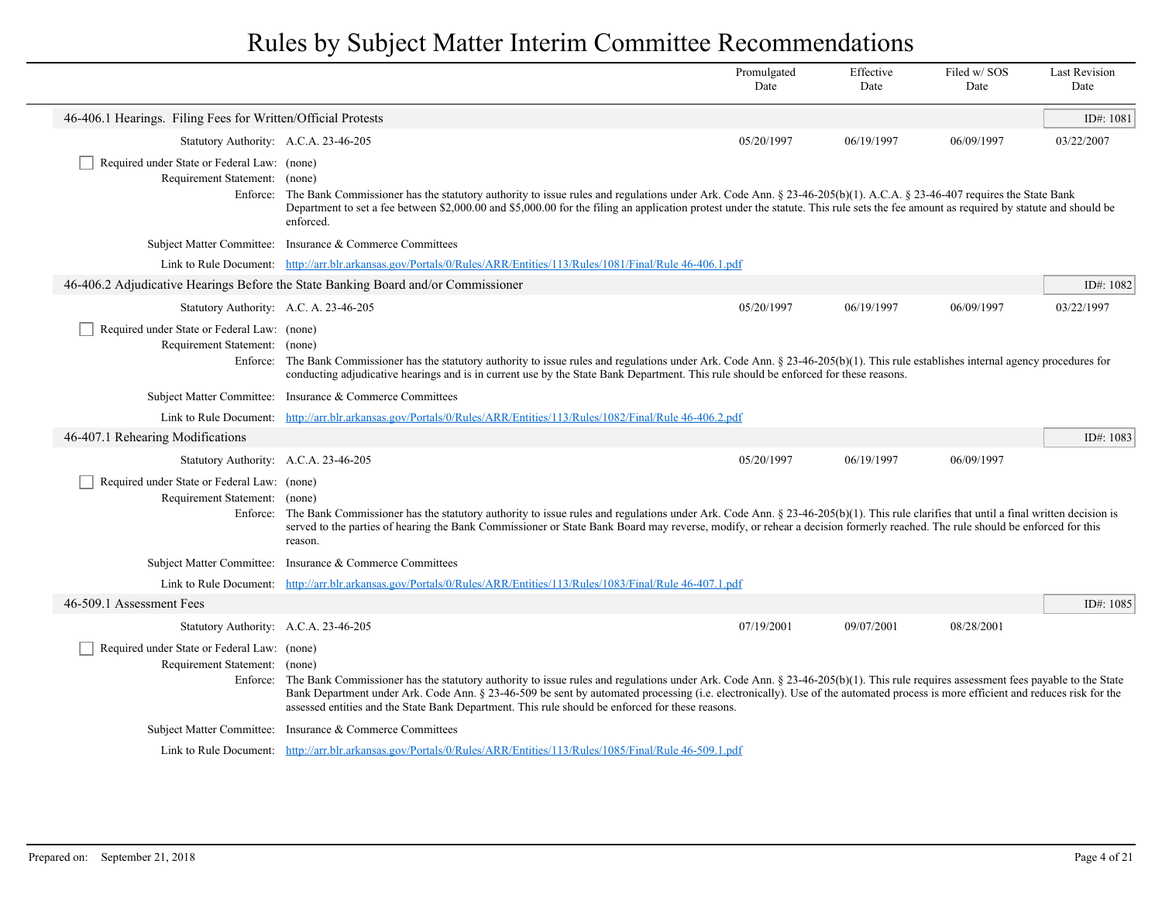|                                                                              |                                                                                                                                                                                                                                                                                                                                                                                                                                                                                      | Promulgated<br>Date | Effective<br>Date | Filed w/SOS<br>Date | <b>Last Revision</b><br>Date |
|------------------------------------------------------------------------------|--------------------------------------------------------------------------------------------------------------------------------------------------------------------------------------------------------------------------------------------------------------------------------------------------------------------------------------------------------------------------------------------------------------------------------------------------------------------------------------|---------------------|-------------------|---------------------|------------------------------|
| 46-406.1 Hearings. Filing Fees for Written/Official Protests                 |                                                                                                                                                                                                                                                                                                                                                                                                                                                                                      |                     |                   |                     | ID#: $1081$                  |
| Statutory Authority: A.C.A. 23-46-205                                        |                                                                                                                                                                                                                                                                                                                                                                                                                                                                                      | 05/20/1997          | 06/19/1997        | 06/09/1997          | 03/22/2007                   |
| Required under State or Federal Law: (none)<br>Requirement Statement: (none) | Enforce: The Bank Commissioner has the statutory authority to issue rules and regulations under Ark. Code Ann. § 23-46-205(b)(1). A.C.A. § 23-46-407 requires the State Bank<br>Department to set a fee between \$2,000.00 and \$5,000.00 for the filing an application protest under the statute. This rule sets the fee amount as required by statute and should be<br>enforced.                                                                                                   |                     |                   |                     |                              |
|                                                                              | Subject Matter Committee: Insurance & Commerce Committees                                                                                                                                                                                                                                                                                                                                                                                                                            |                     |                   |                     |                              |
|                                                                              | Link to Rule Document: http://arr.blr.arkansas.gov/Portals/0/Rules/ARR/Entities/113/Rules/1081/Final/Rule 46-406.1.pdf                                                                                                                                                                                                                                                                                                                                                               |                     |                   |                     |                              |
|                                                                              | 46-406.2 Adjudicative Hearings Before the State Banking Board and/or Commissioner                                                                                                                                                                                                                                                                                                                                                                                                    |                     |                   |                     | ID#: 1082                    |
|                                                                              | Statutory Authority: A.C. A. 23-46-205                                                                                                                                                                                                                                                                                                                                                                                                                                               | 05/20/1997          | 06/19/1997        | 06/09/1997          | 03/22/1997                   |
| Required under State or Federal Law: (none)<br>Requirement Statement: (none) | Enforce: The Bank Commissioner has the statutory authority to issue rules and regulations under Ark. Code Ann. $\S$ 23-46-205(b)(1). This rule establishes internal agency procedures for<br>conducting adjudicative hearings and is in current use by the State Bank Department. This rule should be enforced for these reasons.                                                                                                                                                    |                     |                   |                     |                              |
|                                                                              | Subject Matter Committee: Insurance & Commerce Committees                                                                                                                                                                                                                                                                                                                                                                                                                            |                     |                   |                     |                              |
|                                                                              | Link to Rule Document: http://arr.blr.arkansas.gov/Portals/0/Rules/ARR/Entities/113/Rules/1082/Final/Rule 46-406.2.pdf                                                                                                                                                                                                                                                                                                                                                               |                     |                   |                     |                              |
| 46-407.1 Rehearing Modifications                                             |                                                                                                                                                                                                                                                                                                                                                                                                                                                                                      |                     |                   |                     | ID#: 1083                    |
| Statutory Authority: A.C.A. 23-46-205                                        |                                                                                                                                                                                                                                                                                                                                                                                                                                                                                      | 05/20/1997          | 06/19/1997        | 06/09/1997          |                              |
| Required under State or Federal Law: (none)<br>Requirement Statement: (none) | Enforce: The Bank Commissioner has the statutory authority to issue rules and regulations under Ark. Code Ann. $\S 23-46-205(b)(1)$ . This rule clarifies that until a final written decision is<br>served to the parties of hearing the Bank Commissioner or State Bank Board may reverse, modify, or rehear a decision formerly reached. The rule should be enforced for this<br>reason.                                                                                           |                     |                   |                     |                              |
|                                                                              | Subject Matter Committee: Insurance & Commerce Committees                                                                                                                                                                                                                                                                                                                                                                                                                            |                     |                   |                     |                              |
|                                                                              | Link to Rule Document: http://arr.blr.arkansas.gov/Portals/0/Rules/ARR/Entities/113/Rules/1083/Final/Rule 46-407.1.pdf                                                                                                                                                                                                                                                                                                                                                               |                     |                   |                     |                              |
| 46-509.1 Assessment Fees                                                     |                                                                                                                                                                                                                                                                                                                                                                                                                                                                                      |                     |                   |                     | ID#: 1085                    |
| Statutory Authority: A.C.A. 23-46-205                                        |                                                                                                                                                                                                                                                                                                                                                                                                                                                                                      | 07/19/2001          | 09/07/2001        | 08/28/2001          |                              |
| Required under State or Federal Law: (none)<br>Requirement Statement: (none) | Enforce: The Bank Commissioner has the statutory authority to issue rules and regulations under Ark. Code Ann. $\S 23-46-205(b)(1)$ . This rule requires assessment fees payable to the State<br>Bank Department under Ark. Code Ann. § 23-46-509 be sent by automated processing (i.e. electronically). Use of the automated process is more efficient and reduces risk for the<br>assessed entities and the State Bank Department. This rule should be enforced for these reasons. |                     |                   |                     |                              |
|                                                                              | Subject Matter Committee: Insurance & Commerce Committees                                                                                                                                                                                                                                                                                                                                                                                                                            |                     |                   |                     |                              |
|                                                                              | Link to Rule Document: http://arr.blr.arkansas.gov/Portals/0/Rules/ARR/Entities/113/Rules/1085/Final/Rule 46-509.1.pdf                                                                                                                                                                                                                                                                                                                                                               |                     |                   |                     |                              |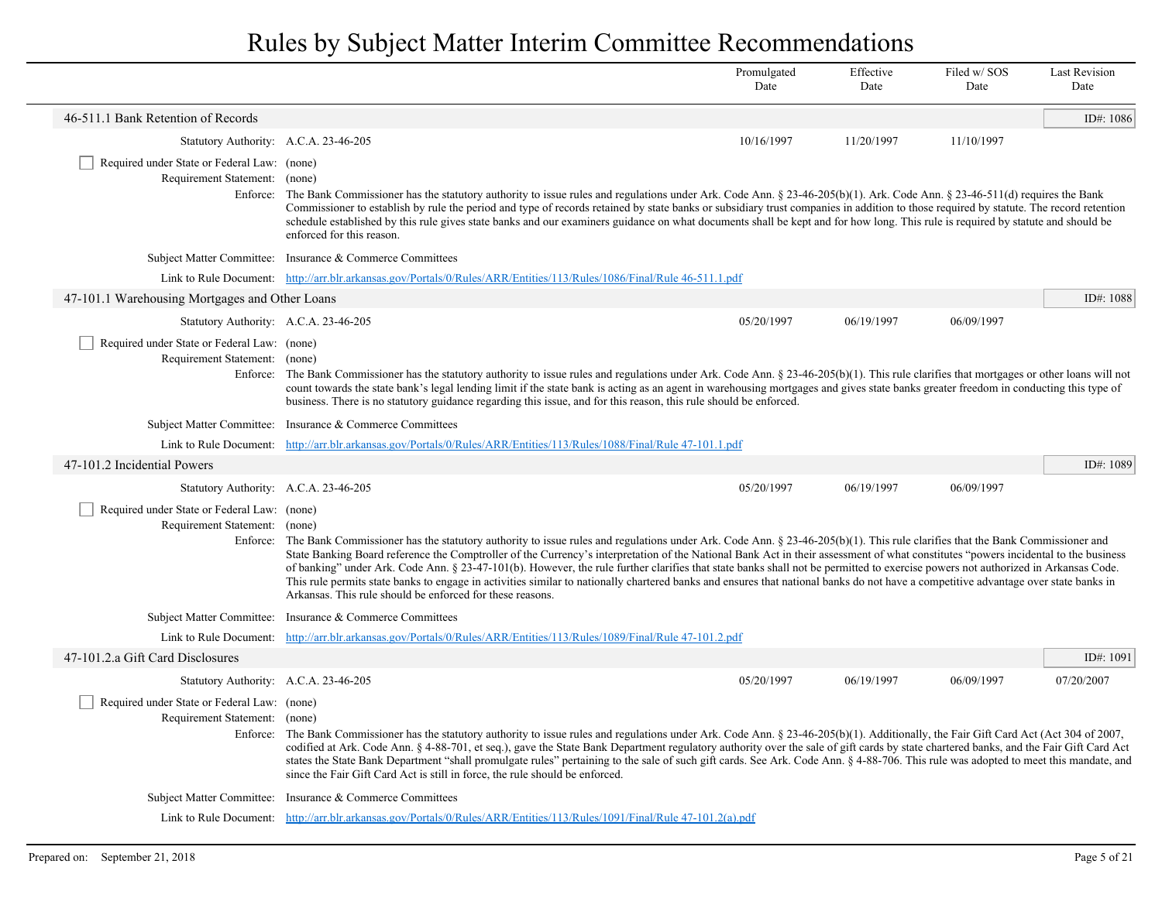|                                                                                          |                                                                                                                                                                                                                                                                                                                                                                                                                                                                                                                                                                                                                                                                                                                                                                                                                                  | Promulgated<br>Date | Effective<br>Date | Filed w/SOS<br>Date | <b>Last Revision</b><br>Date |
|------------------------------------------------------------------------------------------|----------------------------------------------------------------------------------------------------------------------------------------------------------------------------------------------------------------------------------------------------------------------------------------------------------------------------------------------------------------------------------------------------------------------------------------------------------------------------------------------------------------------------------------------------------------------------------------------------------------------------------------------------------------------------------------------------------------------------------------------------------------------------------------------------------------------------------|---------------------|-------------------|---------------------|------------------------------|
| 46-511.1 Bank Retention of Records                                                       |                                                                                                                                                                                                                                                                                                                                                                                                                                                                                                                                                                                                                                                                                                                                                                                                                                  |                     |                   |                     | ID#: 1086                    |
| Statutory Authority: A.C.A. 23-46-205                                                    |                                                                                                                                                                                                                                                                                                                                                                                                                                                                                                                                                                                                                                                                                                                                                                                                                                  | 10/16/1997          | 11/20/1997        | 11/10/1997          |                              |
| Required under State or Federal Law: (none)<br>Requirement Statement: (none)<br>Enforce: | The Bank Commissioner has the statutory authority to issue rules and regulations under Ark. Code Ann. $\S 23-46-205(b)(1)$ . Ark. Code Ann. $\S 23-46-511(d)$ requires the Bank<br>Commissioner to establish by rule the period and type of records retained by state banks or subsidiary trust companies in addition to those required by statute. The record retention<br>schedule established by this rule gives state banks and our examiners guidance on what documents shall be kept and for how long. This rule is required by statute and should be<br>enforced for this reason.                                                                                                                                                                                                                                         |                     |                   |                     |                              |
|                                                                                          | Subject Matter Committee: Insurance & Commerce Committees                                                                                                                                                                                                                                                                                                                                                                                                                                                                                                                                                                                                                                                                                                                                                                        |                     |                   |                     |                              |
|                                                                                          | Link to Rule Document: http://arr.blr.arkansas.gov/Portals/0/Rules/ARR/Entities/113/Rules/1086/Final/Rule 46-511.1.pdf                                                                                                                                                                                                                                                                                                                                                                                                                                                                                                                                                                                                                                                                                                           |                     |                   |                     |                              |
| 47-101.1 Warehousing Mortgages and Other Loans                                           |                                                                                                                                                                                                                                                                                                                                                                                                                                                                                                                                                                                                                                                                                                                                                                                                                                  |                     |                   |                     | ID#: 1088                    |
| Statutory Authority: A.C.A. 23-46-205                                                    |                                                                                                                                                                                                                                                                                                                                                                                                                                                                                                                                                                                                                                                                                                                                                                                                                                  | 05/20/1997          | 06/19/1997        | 06/09/1997          |                              |
| Required under State or Federal Law: (none)<br>Requirement Statement: (none)             | Enforce: The Bank Commissioner has the statutory authority to issue rules and regulations under Ark. Code Ann. § 23-46-205(b)(1). This rule clarifies that mortgages or other loans will not<br>count towards the state bank's legal lending limit if the state bank is acting as an agent in warehousing mortgages and gives state banks greater freedom in conducting this type of<br>business. There is no statutory guidance regarding this issue, and for this reason, this rule should be enforced.                                                                                                                                                                                                                                                                                                                        |                     |                   |                     |                              |
|                                                                                          | Subject Matter Committee: Insurance & Commerce Committees                                                                                                                                                                                                                                                                                                                                                                                                                                                                                                                                                                                                                                                                                                                                                                        |                     |                   |                     |                              |
|                                                                                          | Link to Rule Document: http://arr.blr.arkansas.gov/Portals/0/Rules/ARR/Entities/113/Rules/1088/Final/Rule 47-101.1.pdf                                                                                                                                                                                                                                                                                                                                                                                                                                                                                                                                                                                                                                                                                                           |                     |                   |                     |                              |
| 47-101.2 Incidential Powers                                                              |                                                                                                                                                                                                                                                                                                                                                                                                                                                                                                                                                                                                                                                                                                                                                                                                                                  |                     |                   |                     | ID#: 1089                    |
| Statutory Authority: A.C.A. 23-46-205                                                    |                                                                                                                                                                                                                                                                                                                                                                                                                                                                                                                                                                                                                                                                                                                                                                                                                                  | 05/20/1997          | 06/19/1997        | 06/09/1997          |                              |
| Required under State or Federal Law: (none)<br>Requirement Statement:                    | (none)<br>Enforce: The Bank Commissioner has the statutory authority to issue rules and regulations under Ark. Code Ann. $\S 23-46-205(b)(1)$ . This rule clarifies that the Bank Commissioner and<br>State Banking Board reference the Comptroller of the Currency's interpretation of the National Bank Act in their assessment of what constitutes "powers incidental to the business<br>of banking" under Ark. Code Ann. § 23-47-101(b). However, the rule further clarifies that state banks shall not be permitted to exercise powers not authorized in Arkansas Code.<br>This rule permits state banks to engage in activities similar to nationally chartered banks and ensures that national banks do not have a competitive advantage over state banks in<br>Arkansas. This rule should be enforced for these reasons. |                     |                   |                     |                              |
|                                                                                          | Subject Matter Committee: Insurance & Commerce Committees                                                                                                                                                                                                                                                                                                                                                                                                                                                                                                                                                                                                                                                                                                                                                                        |                     |                   |                     |                              |
|                                                                                          | Link to Rule Document: http://arr.blr.arkansas.gov/Portals/0/Rules/ARR/Entities/113/Rules/1089/Final/Rule 47-101.2.pdf                                                                                                                                                                                                                                                                                                                                                                                                                                                                                                                                                                                                                                                                                                           |                     |                   |                     |                              |
| 47-101.2.a Gift Card Disclosures                                                         |                                                                                                                                                                                                                                                                                                                                                                                                                                                                                                                                                                                                                                                                                                                                                                                                                                  |                     |                   |                     | ID#: 1091                    |
| Statutory Authority: A.C.A. 23-46-205                                                    |                                                                                                                                                                                                                                                                                                                                                                                                                                                                                                                                                                                                                                                                                                                                                                                                                                  | 05/20/1997          | 06/19/1997        | 06/09/1997          | 07/20/2007                   |
| Required under State or Federal Law: (none)<br>Requirement Statement: (none)             | Enforce: The Bank Commissioner has the statutory authority to issue rules and regulations under Ark. Code Ann. § 23-46-205(b)(1). Additionally, the Fair Gift Card Act (Act 304 of 2007,<br>codified at Ark. Code Ann. § 4-88-701, et seq.), gave the State Bank Department regulatory authority over the sale of gift cards by state chartered banks, and the Fair Gift Card Act<br>states the State Bank Department "shall promulgate rules" pertaining to the sale of such gift cards. See Ark. Code Ann. § 4-88-706. This rule was adopted to meet this mandate, and<br>since the Fair Gift Card Act is still in force, the rule should be enforced.                                                                                                                                                                         |                     |                   |                     |                              |
|                                                                                          | Subject Matter Committee: Insurance & Commerce Committees                                                                                                                                                                                                                                                                                                                                                                                                                                                                                                                                                                                                                                                                                                                                                                        |                     |                   |                     |                              |
|                                                                                          | Link to Rule Document: http://arr.blr.arkansas.gov/Portals/0/Rules/ARR/Entities/113/Rules/1091/Final/Rule 47-101.2(a).pdf                                                                                                                                                                                                                                                                                                                                                                                                                                                                                                                                                                                                                                                                                                        |                     |                   |                     |                              |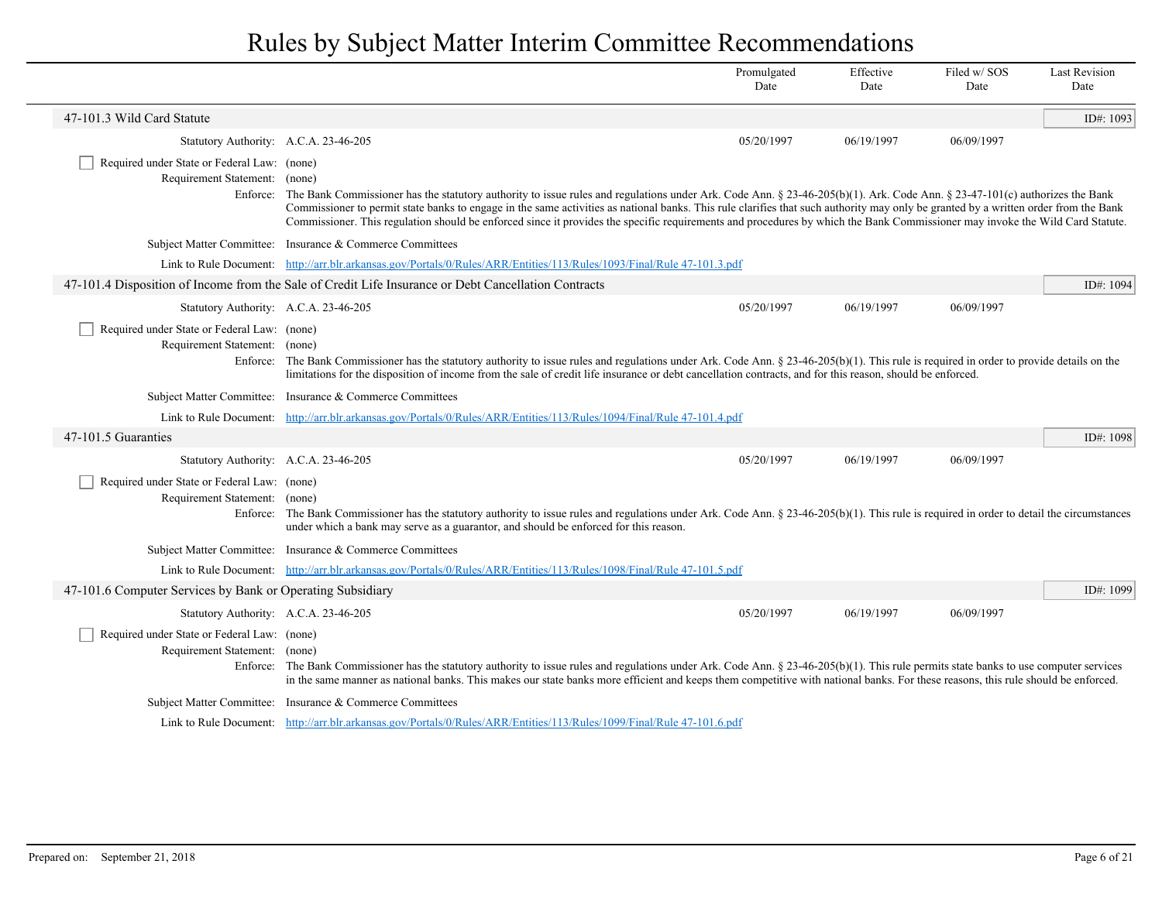|                                                                              |                                                                                                                                                                                                                                                                                                                                                                                                                                                                                                                                                                      | Promulgated<br>Date | Effective<br>Date | Filed w/SOS<br>Date | <b>Last Revision</b><br>Date |
|------------------------------------------------------------------------------|----------------------------------------------------------------------------------------------------------------------------------------------------------------------------------------------------------------------------------------------------------------------------------------------------------------------------------------------------------------------------------------------------------------------------------------------------------------------------------------------------------------------------------------------------------------------|---------------------|-------------------|---------------------|------------------------------|
| 47-101.3 Wild Card Statute                                                   |                                                                                                                                                                                                                                                                                                                                                                                                                                                                                                                                                                      |                     |                   |                     | ID#: 1093                    |
| Statutory Authority: A.C.A. 23-46-205                                        |                                                                                                                                                                                                                                                                                                                                                                                                                                                                                                                                                                      | 05/20/1997          | 06/19/1997        | 06/09/1997          |                              |
| Required under State or Federal Law: (none)<br>Requirement Statement:        | (none)<br>Enforce: The Bank Commissioner has the statutory authority to issue rules and regulations under Ark. Code Ann. § 23-46-205(b)(1). Ark. Code Ann. § 23-47-101(c) authorizes the Bank<br>Commissioner to permit state banks to engage in the same activities as national banks. This rule clarifies that such authority may only be granted by a written order from the Bank<br>Commissioner. This regulation should be enforced since it provides the specific requirements and procedures by which the Bank Commissioner may invoke the Wild Card Statute. |                     |                   |                     |                              |
|                                                                              | Subject Matter Committee: Insurance & Commerce Committees                                                                                                                                                                                                                                                                                                                                                                                                                                                                                                            |                     |                   |                     |                              |
|                                                                              | Link to Rule Document: http://arr.blr.arkansas.gov/Portals/0/Rules/ARR/Entities/113/Rules/1093/Final/Rule 47-101.3.pdf                                                                                                                                                                                                                                                                                                                                                                                                                                               |                     |                   |                     |                              |
|                                                                              | 47-101.4 Disposition of Income from the Sale of Credit Life Insurance or Debt Cancellation Contracts                                                                                                                                                                                                                                                                                                                                                                                                                                                                 |                     |                   |                     | ID#: 1094                    |
| Statutory Authority: A.C.A. 23-46-205                                        |                                                                                                                                                                                                                                                                                                                                                                                                                                                                                                                                                                      | 05/20/1997          | 06/19/1997        | 06/09/1997          |                              |
| Required under State or Federal Law: (none)<br>Requirement Statement: (none) | Enforce: The Bank Commissioner has the statutory authority to issue rules and regulations under Ark. Code Ann. § 23-46-205(b)(1). This rule is required in order to provide details on the<br>limitations for the disposition of income from the sale of credit life insurance or debt cancellation contracts, and for this reason, should be enforced.                                                                                                                                                                                                              |                     |                   |                     |                              |
|                                                                              | Subject Matter Committee: Insurance & Commerce Committees                                                                                                                                                                                                                                                                                                                                                                                                                                                                                                            |                     |                   |                     |                              |
|                                                                              | Link to Rule Document: http://arr.blr.arkansas.gov/Portals/0/Rules/ARR/Entities/113/Rules/1094/Final/Rule 47-101.4.pdf                                                                                                                                                                                                                                                                                                                                                                                                                                               |                     |                   |                     |                              |
| 47-101.5 Guaranties                                                          |                                                                                                                                                                                                                                                                                                                                                                                                                                                                                                                                                                      |                     |                   |                     | ID#: 1098                    |
| Statutory Authority: A.C.A. 23-46-205                                        |                                                                                                                                                                                                                                                                                                                                                                                                                                                                                                                                                                      | 05/20/1997          | 06/19/1997        | 06/09/1997          |                              |
| Required under State or Federal Law: (none)<br>Requirement Statement: (none) | Enforce: The Bank Commissioner has the statutory authority to issue rules and regulations under Ark. Code Ann. § 23-46-205(b)(1). This rule is required in order to detail the circumstances<br>under which a bank may serve as a guarantor, and should be enforced for this reason.                                                                                                                                                                                                                                                                                 |                     |                   |                     |                              |
|                                                                              | Subject Matter Committee: Insurance & Commerce Committees                                                                                                                                                                                                                                                                                                                                                                                                                                                                                                            |                     |                   |                     |                              |
|                                                                              | Link to Rule Document: http://arr.blr.arkansas.gov/Portals/0/Rules/ARR/Entities/113/Rules/1098/Final/Rule 47-101.5.pdf                                                                                                                                                                                                                                                                                                                                                                                                                                               |                     |                   |                     |                              |
| 47-101.6 Computer Services by Bank or Operating Subsidiary                   |                                                                                                                                                                                                                                                                                                                                                                                                                                                                                                                                                                      |                     |                   |                     | ID#: 1099                    |
| Statutory Authority: A.C.A. 23-46-205                                        |                                                                                                                                                                                                                                                                                                                                                                                                                                                                                                                                                                      | 05/20/1997          | 06/19/1997        | 06/09/1997          |                              |
| Required under State or Federal Law: (none)<br>Requirement Statement: (none) | Enforce: The Bank Commissioner has the statutory authority to issue rules and regulations under Ark. Code Ann. $\S 23-46-205(b)(1)$ . This rule permits state banks to use computer services<br>in the same manner as national banks. This makes our state banks more efficient and keeps them competitive with national banks. For these reasons, this rule should be enforced.                                                                                                                                                                                     |                     |                   |                     |                              |
| Subject Matter Committee:                                                    | Insurance & Commerce Committees                                                                                                                                                                                                                                                                                                                                                                                                                                                                                                                                      |                     |                   |                     |                              |
|                                                                              | Link to Rule Document: http://arr.blr.arkansas.gov/Portals/0/Rules/ARR/Entities/113/Rules/1099/Final/Rule 47-101.6.pdf                                                                                                                                                                                                                                                                                                                                                                                                                                               |                     |                   |                     |                              |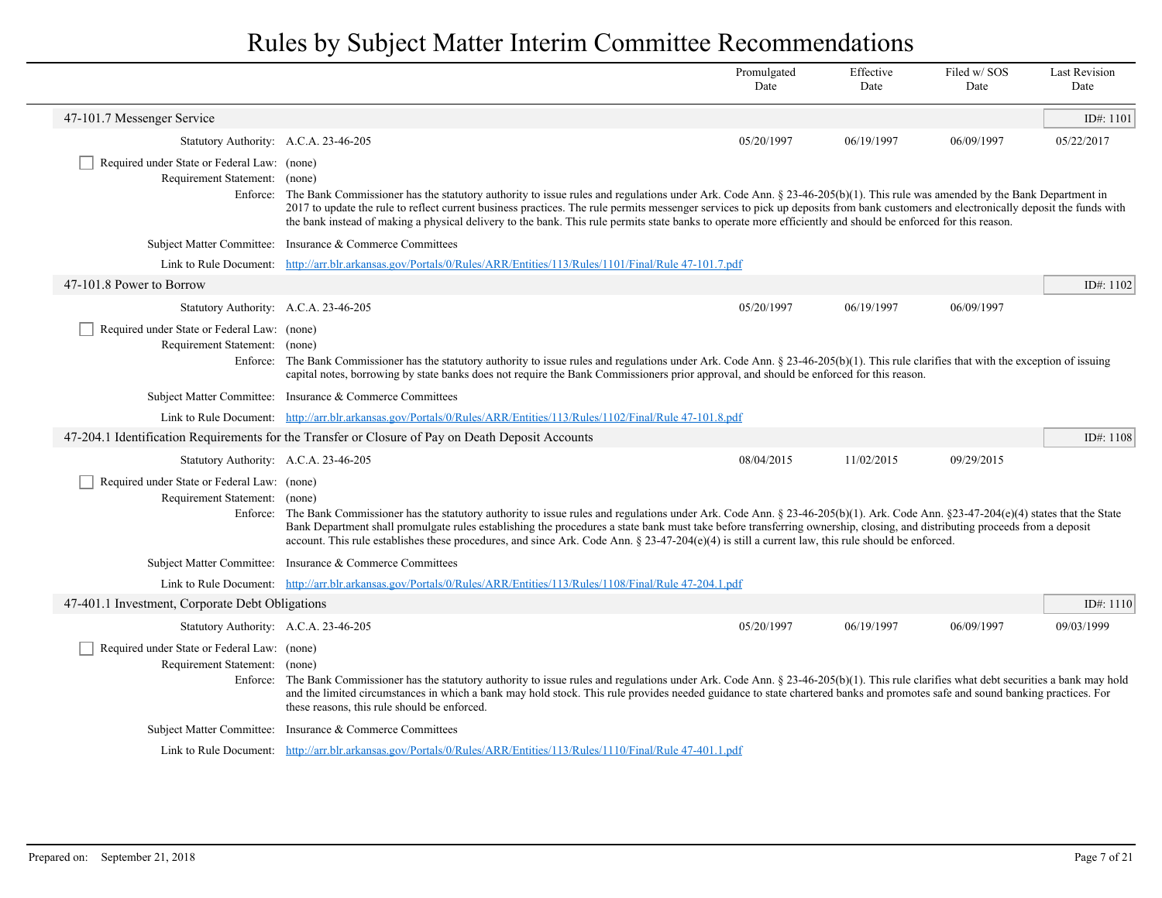|                                                                              |                                                                                                                                                                                                                                                                                                                                                                                                                                                                                                                                                | Promulgated<br>Date | Effective<br>Date | Filed w/SOS<br>Date | <b>Last Revision</b><br>Date |
|------------------------------------------------------------------------------|------------------------------------------------------------------------------------------------------------------------------------------------------------------------------------------------------------------------------------------------------------------------------------------------------------------------------------------------------------------------------------------------------------------------------------------------------------------------------------------------------------------------------------------------|---------------------|-------------------|---------------------|------------------------------|
| 47-101.7 Messenger Service                                                   |                                                                                                                                                                                                                                                                                                                                                                                                                                                                                                                                                |                     |                   |                     | ID#: 1101                    |
| Statutory Authority: A.C.A. 23-46-205                                        |                                                                                                                                                                                                                                                                                                                                                                                                                                                                                                                                                | 05/20/1997          | 06/19/1997        | 06/09/1997          | 05/22/2017                   |
| Required under State or Federal Law: (none)<br>Requirement Statement: (none) | Enforce: The Bank Commissioner has the statutory authority to issue rules and regulations under Ark. Code Ann. $\S 23-46-205(b)(1)$ . This rule was amended by the Bank Department in<br>2017 to update the rule to reflect current business practices. The rule permits messenger services to pick up deposits from bank customers and electronically deposit the funds with<br>the bank instead of making a physical delivery to the bank. This rule permits state banks to operate more efficiently and should be enforced for this reason. |                     |                   |                     |                              |
|                                                                              | Subject Matter Committee: Insurance & Commerce Committees                                                                                                                                                                                                                                                                                                                                                                                                                                                                                      |                     |                   |                     |                              |
|                                                                              | Link to Rule Document: http://arr.blr.arkansas.gov/Portals/0/Rules/ARR/Entities/113/Rules/1101/Final/Rule 47-101.7.pdf                                                                                                                                                                                                                                                                                                                                                                                                                         |                     |                   |                     |                              |
| 47-101.8 Power to Borrow                                                     |                                                                                                                                                                                                                                                                                                                                                                                                                                                                                                                                                |                     |                   |                     | ID#: 1102                    |
| Statutory Authority: A.C.A. 23-46-205                                        |                                                                                                                                                                                                                                                                                                                                                                                                                                                                                                                                                | 05/20/1997          | 06/19/1997        | 06/09/1997          |                              |
| Required under State or Federal Law: (none)<br>Requirement Statement: (none) | Enforce: The Bank Commissioner has the statutory authority to issue rules and regulations under Ark. Code Ann. § 23-46-205(b)(1). This rule clarifies that with the exception of issuing<br>capital notes, borrowing by state banks does not require the Bank Commissioners prior approval, and should be enforced for this reason.                                                                                                                                                                                                            |                     |                   |                     |                              |
|                                                                              | Subject Matter Committee: Insurance & Commerce Committees                                                                                                                                                                                                                                                                                                                                                                                                                                                                                      |                     |                   |                     |                              |
|                                                                              | Link to Rule Document: http://arr.blr.arkansas.gov/Portals/0/Rules/ARR/Entities/113/Rules/1102/Final/Rule 47-101.8.pdf                                                                                                                                                                                                                                                                                                                                                                                                                         |                     |                   |                     |                              |
|                                                                              | 47-204.1 Identification Requirements for the Transfer or Closure of Pay on Death Deposit Accounts                                                                                                                                                                                                                                                                                                                                                                                                                                              |                     |                   |                     | ID#: 1108                    |
| Statutory Authority: A.C.A. 23-46-205                                        |                                                                                                                                                                                                                                                                                                                                                                                                                                                                                                                                                | 08/04/2015          | 11/02/2015        | 09/29/2015          |                              |
| Required under State or Federal Law: (none)<br>Requirement Statement: (none) | Enforce: The Bank Commissioner has the statutory authority to issue rules and regulations under Ark. Code Ann. $\S 23-46-205(b)(1)$ . Ark. Code Ann. $\S 23-47-204(e)(4)$ states that the State<br>Bank Department shall promulgate rules establishing the procedures a state bank must take before transferring ownership, closing, and distributing proceeds from a deposit<br>account. This rule establishes these procedures, and since Ark. Code Ann. § $23-47-204(e)(4)$ is still a current law, this rule should be enforced.           |                     |                   |                     |                              |
|                                                                              | Subject Matter Committee: Insurance & Commerce Committees                                                                                                                                                                                                                                                                                                                                                                                                                                                                                      |                     |                   |                     |                              |
|                                                                              | Link to Rule Document: http://arr.blr.arkansas.gov/Portals/0/Rules/ARR/Entities/113/Rules/1108/Final/Rule 47-204.1.pdf                                                                                                                                                                                                                                                                                                                                                                                                                         |                     |                   |                     |                              |
| 47-401.1 Investment, Corporate Debt Obligations                              |                                                                                                                                                                                                                                                                                                                                                                                                                                                                                                                                                |                     |                   |                     | ID#: 1110                    |
| Statutory Authority: A.C.A. 23-46-205                                        |                                                                                                                                                                                                                                                                                                                                                                                                                                                                                                                                                | 05/20/1997          | 06/19/1997        | 06/09/1997          | 09/03/1999                   |
| Required under State or Federal Law: (none)<br>Requirement Statement: (none) | Enforce: The Bank Commissioner has the statutory authority to issue rules and regulations under Ark. Code Ann. § 23-46-205(b)(1). This rule clarifies what debt securities a bank may hold<br>and the limited circumstances in which a bank may hold stock. This rule provides needed guidance to state chartered banks and promotes safe and sound banking practices. For<br>these reasons, this rule should be enforced.                                                                                                                     |                     |                   |                     |                              |
|                                                                              | Subject Matter Committee: Insurance & Commerce Committees                                                                                                                                                                                                                                                                                                                                                                                                                                                                                      |                     |                   |                     |                              |
|                                                                              | Link to Rule Document: http://arr.blr.arkansas.gov/Portals/0/Rules/ARR/Entities/113/Rules/1110/Final/Rule 47-401.1.pdf                                                                                                                                                                                                                                                                                                                                                                                                                         |                     |                   |                     |                              |

 $\overline{\phantom{a}}$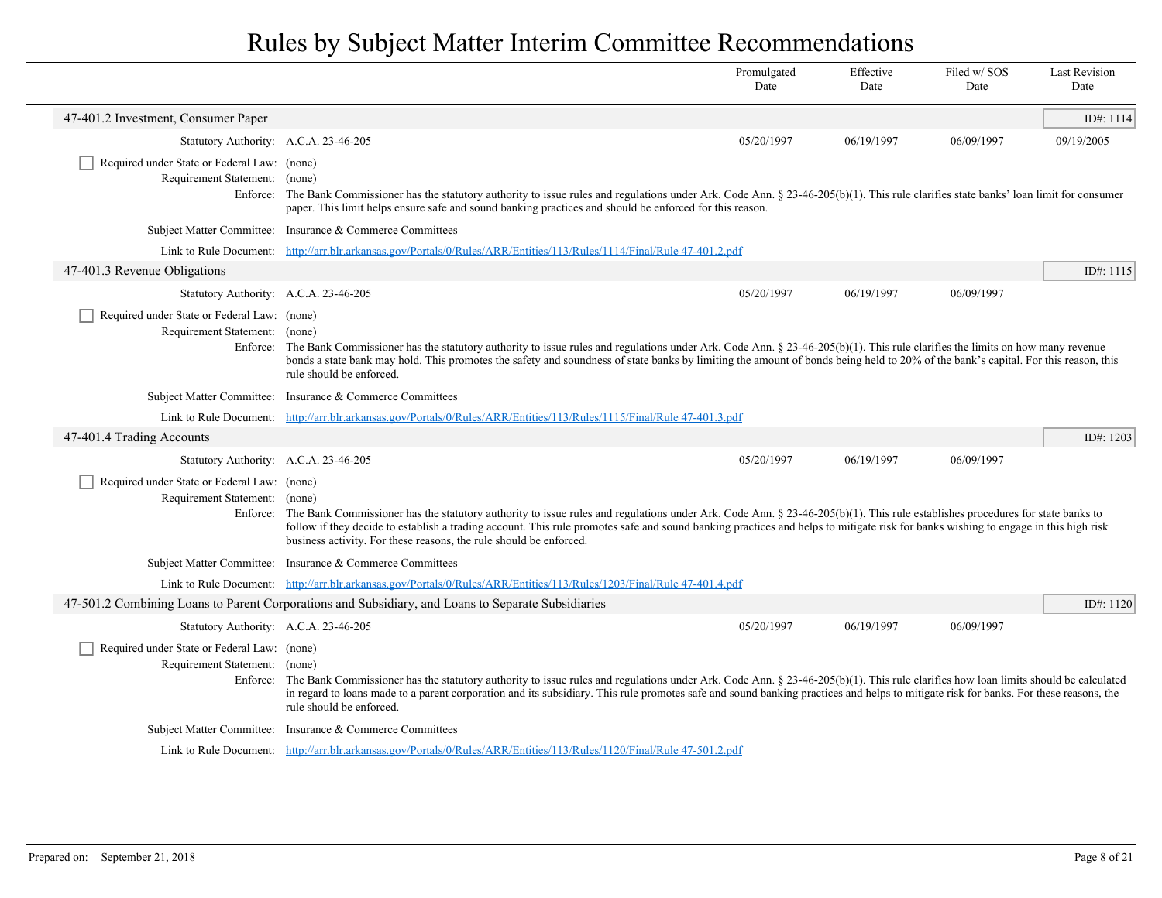|                                                                              |                                                                                                                                                                                                                                                                                                                                                                                                                                                   | Promulgated<br>Date | Effective<br>Date | Filed w/SOS<br>Date | <b>Last Revision</b><br>Date |
|------------------------------------------------------------------------------|---------------------------------------------------------------------------------------------------------------------------------------------------------------------------------------------------------------------------------------------------------------------------------------------------------------------------------------------------------------------------------------------------------------------------------------------------|---------------------|-------------------|---------------------|------------------------------|
| 47-401.2 Investment, Consumer Paper                                          |                                                                                                                                                                                                                                                                                                                                                                                                                                                   |                     |                   |                     | ID#: 1114                    |
| Statutory Authority: A.C.A. 23-46-205                                        |                                                                                                                                                                                                                                                                                                                                                                                                                                                   | 05/20/1997          | 06/19/1997        | 06/09/1997          | 09/19/2005                   |
| Required under State or Federal Law: (none)<br>Requirement Statement: (none) | Enforce: The Bank Commissioner has the statutory authority to issue rules and regulations under Ark. Code Ann. $\S 23-46-205(b)(1)$ . This rule clarifies state banks' loan limit for consumer<br>paper. This limit helps ensure safe and sound banking practices and should be enforced for this reason.                                                                                                                                         |                     |                   |                     |                              |
|                                                                              | Subject Matter Committee: Insurance & Commerce Committees                                                                                                                                                                                                                                                                                                                                                                                         |                     |                   |                     |                              |
|                                                                              | Link to Rule Document: http://arr.blr.arkansas.gov/Portals/0/Rules/ARR/Entities/113/Rules/1114/Final/Rule 47-401.2.pdf                                                                                                                                                                                                                                                                                                                            |                     |                   |                     |                              |
| 47-401.3 Revenue Obligations                                                 |                                                                                                                                                                                                                                                                                                                                                                                                                                                   |                     |                   |                     | ID#: 1115                    |
| Statutory Authority: A.C.A. 23-46-205                                        |                                                                                                                                                                                                                                                                                                                                                                                                                                                   | 05/20/1997          | 06/19/1997        | 06/09/1997          |                              |
| Required under State or Federal Law: (none)<br>Requirement Statement: (none) | Enforce: The Bank Commissioner has the statutory authority to issue rules and regulations under Ark. Code Ann. § 23-46-205(b)(1). This rule clarifies the limits on how many revenue<br>bonds a state bank may hold. This promotes the safety and soundness of state banks by limiting the amount of bonds being held to 20% of the bank's capital. For this reason, this<br>rule should be enforced.                                             |                     |                   |                     |                              |
|                                                                              | Subject Matter Committee: Insurance & Commerce Committees                                                                                                                                                                                                                                                                                                                                                                                         |                     |                   |                     |                              |
|                                                                              | Link to Rule Document: http://arr.blr.arkansas.gov/Portals/0/Rules/ARR/Entities/113/Rules/1115/Final/Rule 47-401.3.pdf                                                                                                                                                                                                                                                                                                                            |                     |                   |                     |                              |
| 47-401.4 Trading Accounts                                                    |                                                                                                                                                                                                                                                                                                                                                                                                                                                   |                     |                   |                     | ID#: $1203$                  |
| Statutory Authority: A.C.A. 23-46-205                                        |                                                                                                                                                                                                                                                                                                                                                                                                                                                   | 05/20/1997          | 06/19/1997        | 06/09/1997          |                              |
| Required under State or Federal Law: (none)<br>Requirement Statement: (none) | Enforce: The Bank Commissioner has the statutory authority to issue rules and regulations under Ark. Code Ann. § 23-46-205(b)(1). This rule establishes procedures for state banks to<br>follow if they decide to establish a trading account. This rule promotes safe and sound banking practices and helps to mitigate risk for banks wishing to engage in this high risk<br>business activity. For these reasons, the rule should be enforced. |                     |                   |                     |                              |
|                                                                              | Subject Matter Committee: Insurance & Commerce Committees                                                                                                                                                                                                                                                                                                                                                                                         |                     |                   |                     |                              |
|                                                                              | Link to Rule Document: http://arr.blr.arkansas.gov/Portals/0/Rules/ARR/Entities/113/Rules/1203/Final/Rule 47-401.4.pdf                                                                                                                                                                                                                                                                                                                            |                     |                   |                     |                              |
|                                                                              | 47-501.2 Combining Loans to Parent Corporations and Subsidiary, and Loans to Separate Subsidiaries                                                                                                                                                                                                                                                                                                                                                |                     |                   |                     | ID#: $1120$                  |
| Statutory Authority: A.C.A. 23-46-205                                        |                                                                                                                                                                                                                                                                                                                                                                                                                                                   | 05/20/1997          | 06/19/1997        | 06/09/1997          |                              |
| Required under State or Federal Law: (none)<br>Requirement Statement: (none) | Enforce: The Bank Commissioner has the statutory authority to issue rules and regulations under Ark. Code Ann. § 23-46-205(b)(1). This rule clarifies how loan limits should be calculated<br>in regard to loans made to a parent corporation and its subsidiary. This rule promotes safe and sound banking practices and helps to mitigate risk for banks. For these reasons, the<br>rule should be enforced.                                    |                     |                   |                     |                              |
|                                                                              | Subject Matter Committee: Insurance & Commerce Committees                                                                                                                                                                                                                                                                                                                                                                                         |                     |                   |                     |                              |
|                                                                              | Link to Rule Document: http://arr.blr.arkansas.gov/Portals/0/Rules/ARR/Entities/113/Rules/1120/Final/Rule 47-501.2.pdf                                                                                                                                                                                                                                                                                                                            |                     |                   |                     |                              |

 $\overline{\phantom{a}}$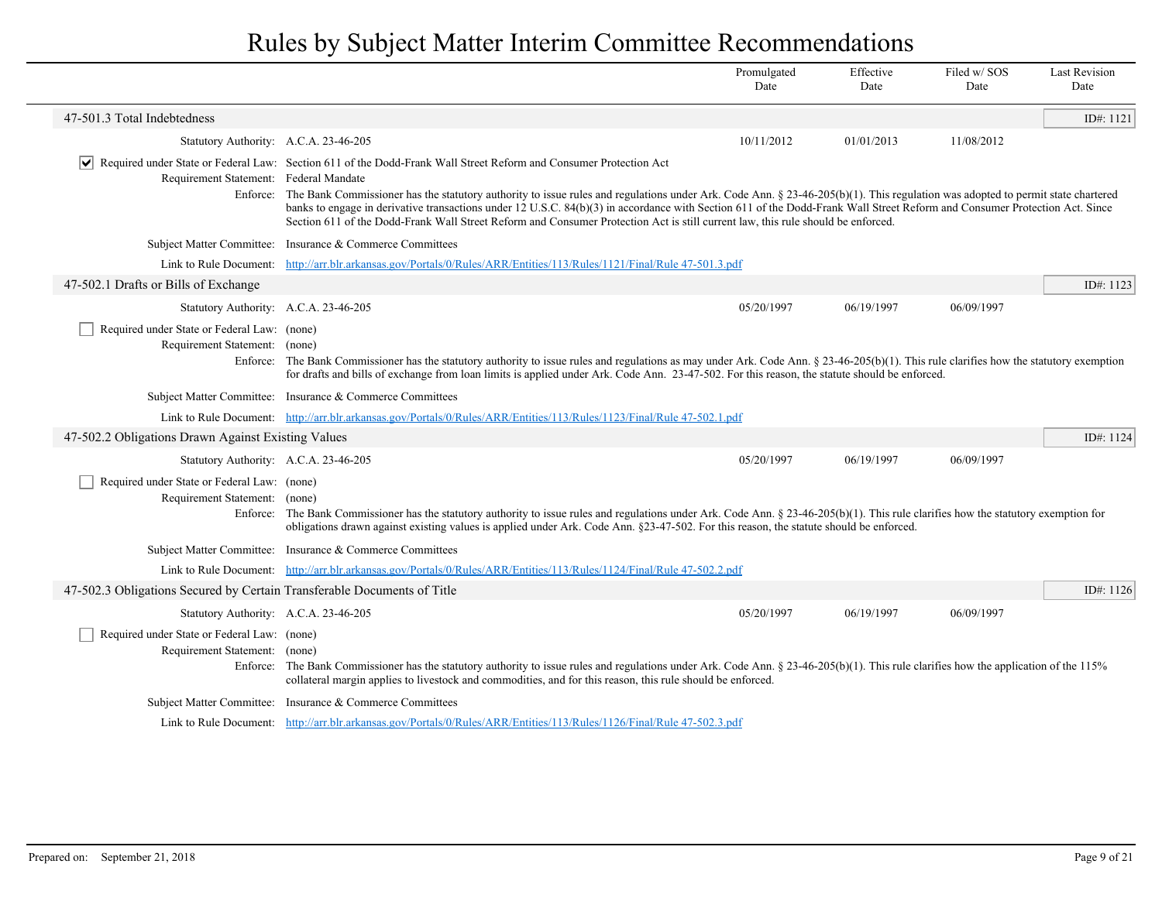|                                                                              |                                                                                                                                                                                                                                                                                                                                           | Promulgated<br>Date                                                                                                                                                                                                                                                                                                                                                                                                                                                                              | Effective<br>Date | Filed w/SOS<br>Date | <b>Last Revision</b><br>Date |  |  |  |
|------------------------------------------------------------------------------|-------------------------------------------------------------------------------------------------------------------------------------------------------------------------------------------------------------------------------------------------------------------------------------------------------------------------------------------|--------------------------------------------------------------------------------------------------------------------------------------------------------------------------------------------------------------------------------------------------------------------------------------------------------------------------------------------------------------------------------------------------------------------------------------------------------------------------------------------------|-------------------|---------------------|------------------------------|--|--|--|
| 47-501.3 Total Indebtedness                                                  |                                                                                                                                                                                                                                                                                                                                           |                                                                                                                                                                                                                                                                                                                                                                                                                                                                                                  |                   |                     | ID#: 1121                    |  |  |  |
| Statutory Authority: A.C.A. 23-46-205                                        |                                                                                                                                                                                                                                                                                                                                           | 10/11/2012                                                                                                                                                                                                                                                                                                                                                                                                                                                                                       | 01/01/2013        | 11/08/2012          |                              |  |  |  |
| Requirement Statement: Federal Mandate<br>Enforce:                           | Required under State or Federal Law: Section 611 of the Dodd-Frank Wall Street Reform and Consumer Protection Act                                                                                                                                                                                                                         | The Bank Commissioner has the statutory authority to issue rules and regulations under Ark. Code Ann. § 23-46-205(b)(1). This regulation was adopted to permit state chartered<br>banks to engage in derivative transactions under 12 U.S.C. 84(b)(3) in accordance with Section 611 of the Dodd-Frank Wall Street Reform and Consumer Protection Act. Since<br>Section 611 of the Dodd-Frank Wall Street Reform and Consumer Protection Act is still current law, this rule should be enforced. |                   |                     |                              |  |  |  |
|                                                                              | Subject Matter Committee: Insurance & Commerce Committees                                                                                                                                                                                                                                                                                 |                                                                                                                                                                                                                                                                                                                                                                                                                                                                                                  |                   |                     |                              |  |  |  |
| Link to Rule Document:                                                       | http://arr.blr.arkansas.gov/Portals/0/Rules/ARR/Entities/113/Rules/1121/Final/Rule 47-501.3.pdf                                                                                                                                                                                                                                           |                                                                                                                                                                                                                                                                                                                                                                                                                                                                                                  |                   |                     |                              |  |  |  |
| 47-502.1 Drafts or Bills of Exchange                                         |                                                                                                                                                                                                                                                                                                                                           |                                                                                                                                                                                                                                                                                                                                                                                                                                                                                                  |                   |                     | ID#: $1123$                  |  |  |  |
| Statutory Authority: A.C.A. 23-46-205                                        |                                                                                                                                                                                                                                                                                                                                           | 05/20/1997                                                                                                                                                                                                                                                                                                                                                                                                                                                                                       | 06/19/1997        | 06/09/1997          |                              |  |  |  |
| Required under State or Federal Law: (none)<br>Requirement Statement: (none) | Enforce: The Bank Commissioner has the statutory authority to issue rules and regulations as may under Ark. Code Ann. § 23-46-205(b)(1). This rule clarifies how the statutory exemption<br>for drafts and bills of exchange from loan limits is applied under Ark. Code Ann. 23-47-502. For this reason, the statute should be enforced. |                                                                                                                                                                                                                                                                                                                                                                                                                                                                                                  |                   |                     |                              |  |  |  |
|                                                                              | Subject Matter Committee: Insurance & Commerce Committees                                                                                                                                                                                                                                                                                 |                                                                                                                                                                                                                                                                                                                                                                                                                                                                                                  |                   |                     |                              |  |  |  |
|                                                                              | Link to Rule Document: http://arr.blr.arkansas.gov/Portals/0/Rules/ARR/Entities/113/Rules/1123/Final/Rule 47-502.1.pdf                                                                                                                                                                                                                    |                                                                                                                                                                                                                                                                                                                                                                                                                                                                                                  |                   |                     |                              |  |  |  |
| 47-502.2 Obligations Drawn Against Existing Values                           |                                                                                                                                                                                                                                                                                                                                           |                                                                                                                                                                                                                                                                                                                                                                                                                                                                                                  |                   |                     | ID#: 1124                    |  |  |  |
| Statutory Authority: A.C.A. 23-46-205                                        |                                                                                                                                                                                                                                                                                                                                           | 05/20/1997                                                                                                                                                                                                                                                                                                                                                                                                                                                                                       | 06/19/1997        | 06/09/1997          |                              |  |  |  |
| Required under State or Federal Law: (none)<br>Requirement Statement: (none) | Enforce: The Bank Commissioner has the statutory authority to issue rules and regulations under Ark. Code Ann. § 23-46-205(b)(1). This rule clarifies how the statutory exemption for<br>obligations drawn against existing values is applied under Ark. Code Ann. §23-47-502. For this reason, the statute should be enforced.           |                                                                                                                                                                                                                                                                                                                                                                                                                                                                                                  |                   |                     |                              |  |  |  |
|                                                                              | Subject Matter Committee: Insurance & Commerce Committees                                                                                                                                                                                                                                                                                 |                                                                                                                                                                                                                                                                                                                                                                                                                                                                                                  |                   |                     |                              |  |  |  |
| Link to Rule Document:                                                       | http://arr.blr.arkansas.gov/Portals/0/Rules/ARR/Entities/113/Rules/1124/Final/Rule 47-502.2.pdf                                                                                                                                                                                                                                           |                                                                                                                                                                                                                                                                                                                                                                                                                                                                                                  |                   |                     |                              |  |  |  |
| 47-502.3 Obligations Secured by Certain Transferable Documents of Title      |                                                                                                                                                                                                                                                                                                                                           |                                                                                                                                                                                                                                                                                                                                                                                                                                                                                                  |                   |                     | ID#: 1126                    |  |  |  |
| Statutory Authority: A.C.A. 23-46-205                                        |                                                                                                                                                                                                                                                                                                                                           | 05/20/1997                                                                                                                                                                                                                                                                                                                                                                                                                                                                                       | 06/19/1997        | 06/09/1997          |                              |  |  |  |
| Required under State or Federal Law: (none)<br>Requirement Statement: (none) | Enforce: The Bank Commissioner has the statutory authority to issue rules and regulations under Ark. Code Ann. $\S 23-46-205(b)(1)$ . This rule clarifies how the application of the 115%<br>collateral margin applies to livestock and commodities, and for this reason, this rule should be enforced.                                   |                                                                                                                                                                                                                                                                                                                                                                                                                                                                                                  |                   |                     |                              |  |  |  |
|                                                                              | Subject Matter Committee: Insurance & Commerce Committees                                                                                                                                                                                                                                                                                 |                                                                                                                                                                                                                                                                                                                                                                                                                                                                                                  |                   |                     |                              |  |  |  |
|                                                                              | Link to Rule Document: http://arr.blr.arkansas.gov/Portals/0/Rules/ARR/Entities/113/Rules/1126/Final/Rule 47-502.3.pdf                                                                                                                                                                                                                    |                                                                                                                                                                                                                                                                                                                                                                                                                                                                                                  |                   |                     |                              |  |  |  |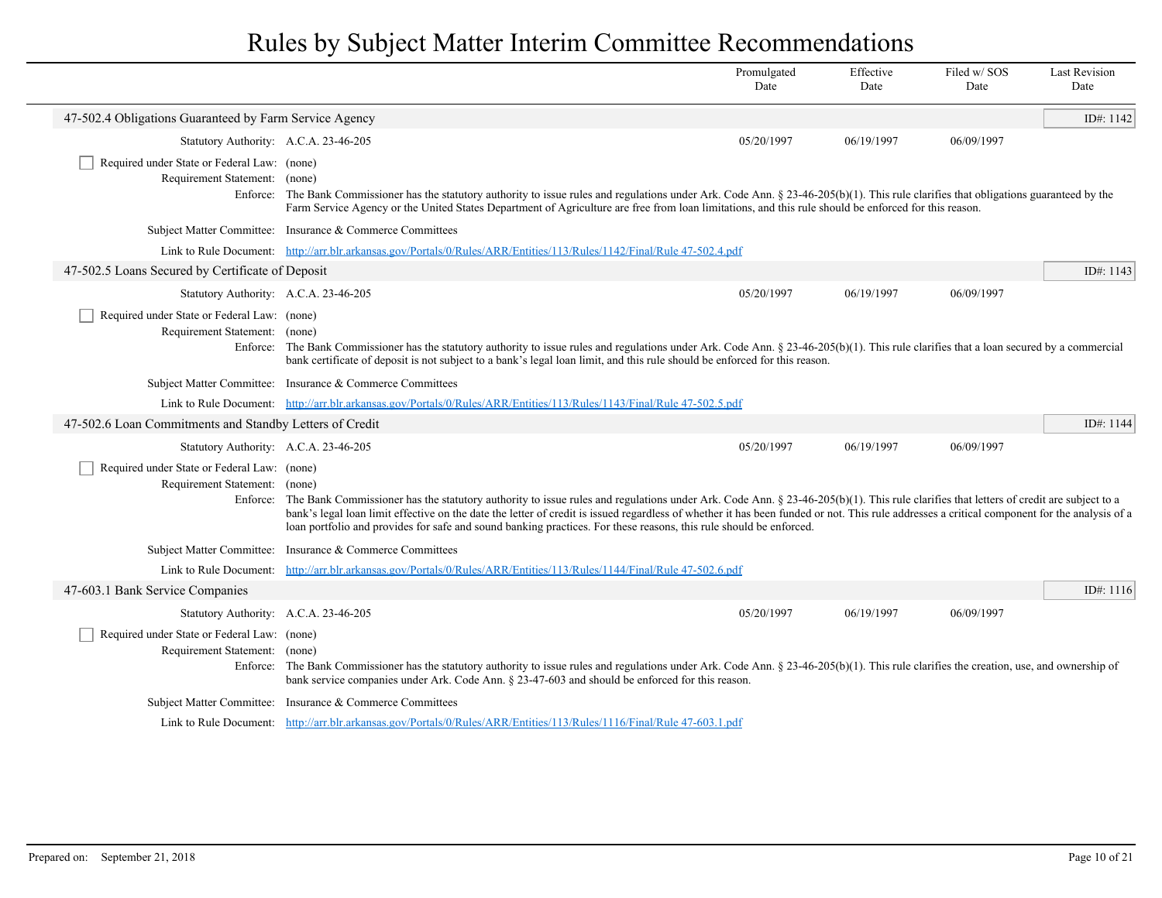|                                                                                   |                                                                                                                                                                                                                                                                                                                                                                                                                                                                                                                          | Promulgated<br>Date | Effective<br>Date | Filed w/SOS<br>Date | <b>Last Revision</b><br>Date |
|-----------------------------------------------------------------------------------|--------------------------------------------------------------------------------------------------------------------------------------------------------------------------------------------------------------------------------------------------------------------------------------------------------------------------------------------------------------------------------------------------------------------------------------------------------------------------------------------------------------------------|---------------------|-------------------|---------------------|------------------------------|
| 47-502.4 Obligations Guaranteed by Farm Service Agency                            |                                                                                                                                                                                                                                                                                                                                                                                                                                                                                                                          |                     |                   |                     | ID#: 1142                    |
| Statutory Authority: A.C.A. 23-46-205                                             |                                                                                                                                                                                                                                                                                                                                                                                                                                                                                                                          | 05/20/1997          | 06/19/1997        | 06/09/1997          |                              |
| Required under State or Federal Law: (none)<br>Requirement Statement:             | (none)<br>Enforce: The Bank Commissioner has the statutory authority to issue rules and regulations under Ark. Code Ann. § 23-46-205(b)(1). This rule clarifies that obligations guaranteed by the<br>Farm Service Agency or the United States Department of Agriculture are free from loan limitations, and this rule should be enforced for this reason.                                                                                                                                                               |                     |                   |                     |                              |
|                                                                                   | Subject Matter Committee: Insurance & Commerce Committees                                                                                                                                                                                                                                                                                                                                                                                                                                                                |                     |                   |                     |                              |
|                                                                                   | Link to Rule Document: http://arr.blr.arkansas.gov/Portals/0/Rules/ARR/Entities/113/Rules/1142/Final/Rule 47-502.4.pdf                                                                                                                                                                                                                                                                                                                                                                                                   |                     |                   |                     |                              |
| 47-502.5 Loans Secured by Certificate of Deposit                                  |                                                                                                                                                                                                                                                                                                                                                                                                                                                                                                                          |                     |                   |                     | ID#: 1143                    |
| Statutory Authority: A.C.A. 23-46-205                                             |                                                                                                                                                                                                                                                                                                                                                                                                                                                                                                                          | 05/20/1997          | 06/19/1997        | 06/09/1997          |                              |
| Required under State or Federal Law: (none)<br>Requirement Statement: (none)      | Enforce: The Bank Commissioner has the statutory authority to issue rules and regulations under Ark. Code Ann. $\S 23-46-205(b)(1)$ . This rule clarifies that a loan secured by a commercial<br>bank certificate of deposit is not subject to a bank's legal loan limit, and this rule should be enforced for this reason.                                                                                                                                                                                              |                     |                   |                     |                              |
|                                                                                   | Subject Matter Committee: Insurance & Commerce Committees                                                                                                                                                                                                                                                                                                                                                                                                                                                                |                     |                   |                     |                              |
|                                                                                   | Link to Rule Document: http://arr.blr.arkansas.gov/Portals/0/Rules/ARR/Entities/113/Rules/1143/Final/Rule 47-502.5.pdf                                                                                                                                                                                                                                                                                                                                                                                                   |                     |                   |                     |                              |
| 47-502.6 Loan Commitments and Standby Letters of Credit                           |                                                                                                                                                                                                                                                                                                                                                                                                                                                                                                                          |                     |                   |                     | ID#: 1144                    |
| Statutory Authority: A.C.A. 23-46-205                                             |                                                                                                                                                                                                                                                                                                                                                                                                                                                                                                                          | 05/20/1997          | 06/19/1997        | 06/09/1997          |                              |
| Required under State or Federal Law: (none)<br>Requirement Statement:<br>Enforce: | (none)<br>The Bank Commissioner has the statutory authority to issue rules and regulations under Ark. Code Ann. $\S 23-46-205(b)(1)$ . This rule clarifies that letters of credit are subject to a<br>bank's legal loan limit effective on the date the letter of credit is issued regardless of whether it has been funded or not. This rule addresses a critical component for the analysis of a<br>loan portfolio and provides for safe and sound banking practices. For these reasons, this rule should be enforced. |                     |                   |                     |                              |
|                                                                                   | Subject Matter Committee: Insurance & Commerce Committees                                                                                                                                                                                                                                                                                                                                                                                                                                                                |                     |                   |                     |                              |
| Link to Rule Document:                                                            | http://arr.blr.arkansas.gov/Portals/0/Rules/ARR/Entities/113/Rules/1144/Final/Rule 47-502.6.pdf                                                                                                                                                                                                                                                                                                                                                                                                                          |                     |                   |                     |                              |
| 47-603.1 Bank Service Companies                                                   |                                                                                                                                                                                                                                                                                                                                                                                                                                                                                                                          |                     |                   |                     | ID#: 1116                    |
| Statutory Authority: A.C.A. 23-46-205                                             |                                                                                                                                                                                                                                                                                                                                                                                                                                                                                                                          | 05/20/1997          | 06/19/1997        | 06/09/1997          |                              |
| Required under State or Federal Law: (none)<br>Requirement Statement:             | (none)<br>Enforce: The Bank Commissioner has the statutory authority to issue rules and regulations under Ark. Code Ann. § 23-46-205(b)(1). This rule clarifies the creation, use, and ownership of<br>bank service companies under Ark. Code Ann. § 23-47-603 and should be enforced for this reason.                                                                                                                                                                                                                   |                     |                   |                     |                              |
|                                                                                   | Subject Matter Committee: Insurance & Commerce Committees                                                                                                                                                                                                                                                                                                                                                                                                                                                                |                     |                   |                     |                              |
|                                                                                   | Link to Rule Document: http://arr.blr.arkansas.gov/Portals/0/Rules/ARR/Entities/113/Rules/1116/Final/Rule 47-603.1.pdf                                                                                                                                                                                                                                                                                                                                                                                                   |                     |                   |                     |                              |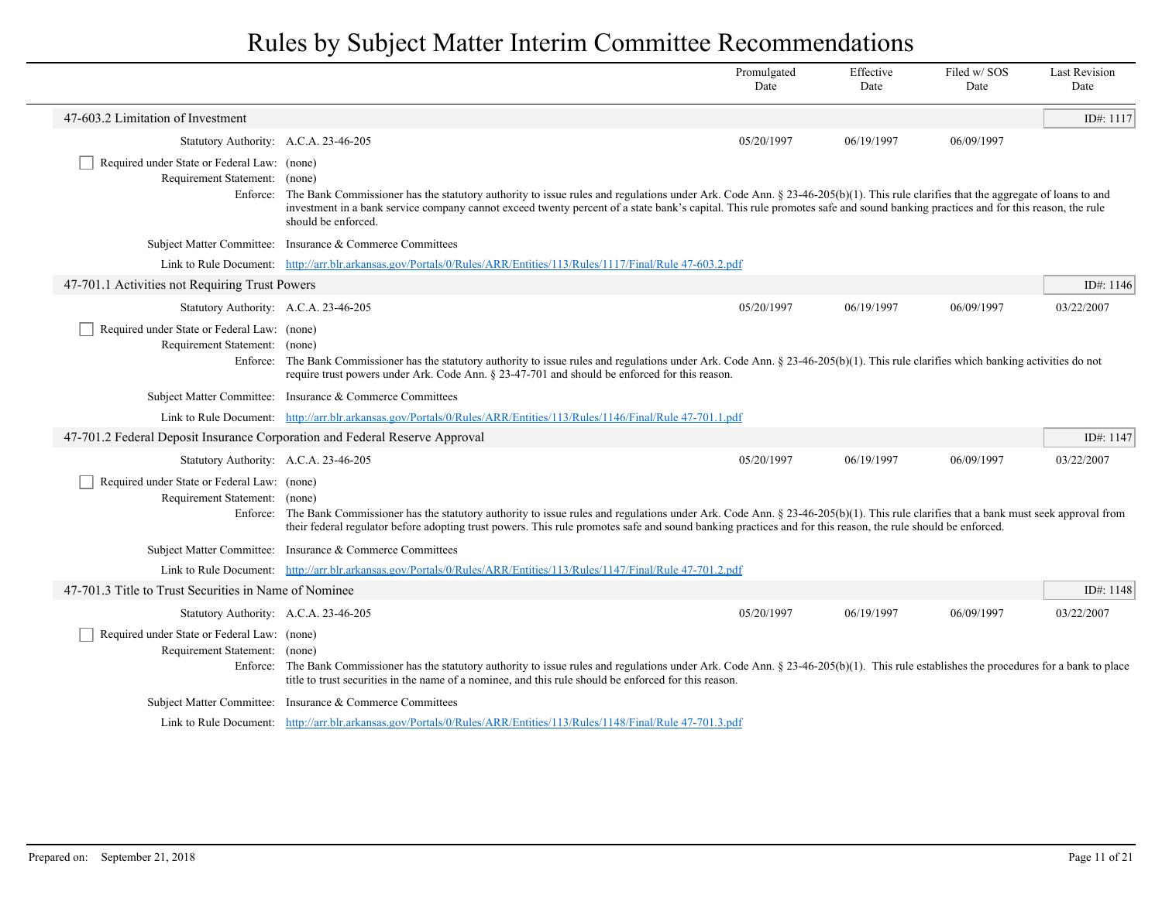|                                                                                          |                                                                                                                                                                                                                                                                                                                                                                                              | Promulgated<br>Date | Effective<br>Date | Filed w/SOS<br>Date | <b>Last Revision</b><br>Date |
|------------------------------------------------------------------------------------------|----------------------------------------------------------------------------------------------------------------------------------------------------------------------------------------------------------------------------------------------------------------------------------------------------------------------------------------------------------------------------------------------|---------------------|-------------------|---------------------|------------------------------|
| 47-603.2 Limitation of Investment                                                        |                                                                                                                                                                                                                                                                                                                                                                                              |                     |                   |                     | ID#: 1117                    |
| Statutory Authority: A.C.A. 23-46-205                                                    |                                                                                                                                                                                                                                                                                                                                                                                              | 05/20/1997          | 06/19/1997        | 06/09/1997          |                              |
| Required under State or Federal Law: (none)<br>Requirement Statement: (none)<br>Enforce: | The Bank Commissioner has the statutory authority to issue rules and regulations under Ark. Code Ann. $\S 23-46-205(b)(1)$ . This rule clarifies that the aggregate of loans to and<br>investment in a bank service company cannot exceed twenty percent of a state bank's capital. This rule promotes safe and sound banking practices and for this reason, the rule<br>should be enforced. |                     |                   |                     |                              |
|                                                                                          | Subject Matter Committee: Insurance & Commerce Committees                                                                                                                                                                                                                                                                                                                                    |                     |                   |                     |                              |
|                                                                                          | Link to Rule Document: http://arr.blr.arkansas.gov/Portals/0/Rules/ARR/Entities/113/Rules/1117/Final/Rule 47-603.2.pdf                                                                                                                                                                                                                                                                       |                     |                   |                     |                              |
| 47-701.1 Activities not Requiring Trust Powers                                           |                                                                                                                                                                                                                                                                                                                                                                                              |                     |                   |                     | ID#: 1146                    |
| Statutory Authority: A.C.A. 23-46-205                                                    |                                                                                                                                                                                                                                                                                                                                                                                              | 05/20/1997          | 06/19/1997        | 06/09/1997          | 03/22/2007                   |
| Required under State or Federal Law: (none)<br>Requirement Statement: (none)             | Enforce: The Bank Commissioner has the statutory authority to issue rules and regulations under Ark. Code Ann. § 23-46-205(b)(1). This rule clarifies which banking activities do not<br>require trust powers under Ark. Code Ann. $\S$ 23-47-701 and should be enforced for this reason.                                                                                                    |                     |                   |                     |                              |
|                                                                                          | Subject Matter Committee: Insurance & Commerce Committees                                                                                                                                                                                                                                                                                                                                    |                     |                   |                     |                              |
|                                                                                          | Link to Rule Document: http://arr.blr.arkansas.gov/Portals/0/Rules/ARR/Entities/113/Rules/1146/Final/Rule 47-701.1.pdf                                                                                                                                                                                                                                                                       |                     |                   |                     |                              |
| 47-701.2 Federal Deposit Insurance Corporation and Federal Reserve Approval              |                                                                                                                                                                                                                                                                                                                                                                                              |                     |                   |                     | ID#: 1147                    |
| Statutory Authority: A.C.A. 23-46-205                                                    |                                                                                                                                                                                                                                                                                                                                                                                              | 05/20/1997          | 06/19/1997        | 06/09/1997          | 03/22/2007                   |
| Required under State or Federal Law: (none)<br>Requirement Statement:                    | (none)<br>Enforce: The Bank Commissioner has the statutory authority to issue rules and regulations under Ark. Code Ann. § 23-46-205(b)(1). This rule clarifies that a bank must seek approval from<br>their federal regulator before adopting trust powers. This rule promotes safe and sound banking practices and for this reason, the rule should be enforced.                           |                     |                   |                     |                              |
|                                                                                          | Subject Matter Committee: Insurance & Commerce Committees                                                                                                                                                                                                                                                                                                                                    |                     |                   |                     |                              |
|                                                                                          | Link to Rule Document: http://arr.blr.arkansas.gov/Portals/0/Rules/ARR/Entities/113/Rules/1147/Final/Rule 47-701.2.pdf                                                                                                                                                                                                                                                                       |                     |                   |                     |                              |
| 47-701.3 Title to Trust Securities in Name of Nominee                                    |                                                                                                                                                                                                                                                                                                                                                                                              |                     |                   |                     | ID#: 1148                    |
| Statutory Authority: A.C.A. 23-46-205                                                    |                                                                                                                                                                                                                                                                                                                                                                                              | 05/20/1997          | 06/19/1997        | 06/09/1997          | 03/22/2007                   |
| Required under State or Federal Law: (none)<br>Requirement Statement: (none)             | Enforce: The Bank Commissioner has the statutory authority to issue rules and regulations under Ark. Code Ann. § 23-46-205(b)(1). This rule establishes the procedures for a bank to place<br>title to trust securities in the name of a nominee, and this rule should be enforced for this reason.                                                                                          |                     |                   |                     |                              |
|                                                                                          | Subject Matter Committee: Insurance & Commerce Committees                                                                                                                                                                                                                                                                                                                                    |                     |                   |                     |                              |
|                                                                                          | Link to Rule Document: http://arr.blr.arkansas.gov/Portals/0/Rules/ARR/Entities/113/Rules/1148/Final/Rule 47-701.3.pdf                                                                                                                                                                                                                                                                       |                     |                   |                     |                              |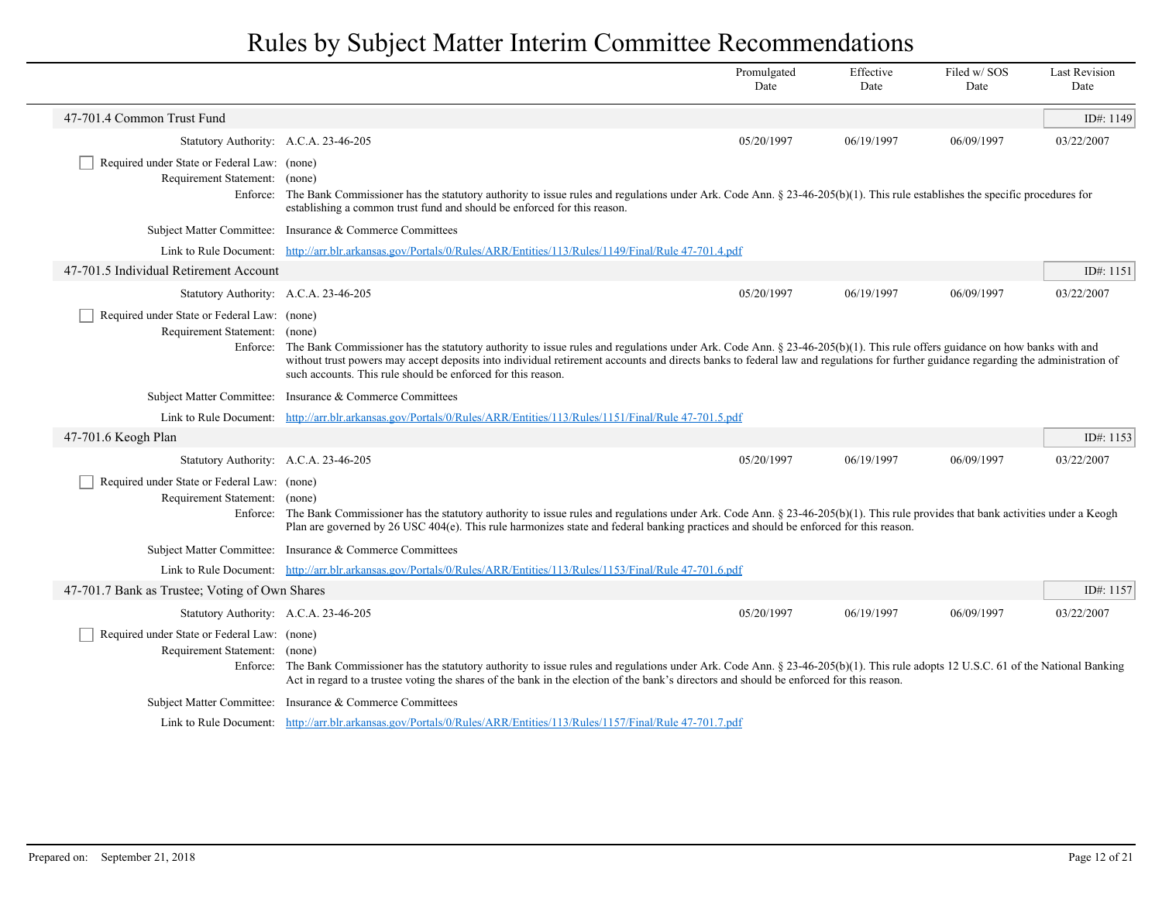|                                                                              |                                                                                                                                                                                                                                                                                                                                                                                                                                         | Promulgated<br>Date | Effective<br>Date | Filed w/SOS<br>Date | <b>Last Revision</b><br>Date |  |
|------------------------------------------------------------------------------|-----------------------------------------------------------------------------------------------------------------------------------------------------------------------------------------------------------------------------------------------------------------------------------------------------------------------------------------------------------------------------------------------------------------------------------------|---------------------|-------------------|---------------------|------------------------------|--|
| 47-701.4 Common Trust Fund                                                   |                                                                                                                                                                                                                                                                                                                                                                                                                                         |                     |                   |                     | ID#: 1149                    |  |
| Statutory Authority: A.C.A. 23-46-205                                        |                                                                                                                                                                                                                                                                                                                                                                                                                                         | 05/20/1997          | 06/19/1997        | 06/09/1997          | 03/22/2007                   |  |
| Required under State or Federal Law: (none)<br>Requirement Statement:        | (none)<br>Enforce: The Bank Commissioner has the statutory authority to issue rules and regulations under Ark. Code Ann. § 23-46-205(b)(1). This rule establishes the specific procedures for<br>establishing a common trust fund and should be enforced for this reason.                                                                                                                                                               |                     |                   |                     |                              |  |
|                                                                              | Subject Matter Committee: Insurance & Commerce Committees                                                                                                                                                                                                                                                                                                                                                                               |                     |                   |                     |                              |  |
|                                                                              | Link to Rule Document: http://arr.blr.arkansas.gov/Portals/0/Rules/ARR/Entities/113/Rules/1149/Final/Rule 47-701.4.pdf                                                                                                                                                                                                                                                                                                                  |                     |                   |                     |                              |  |
| 47-701.5 Individual Retirement Account                                       |                                                                                                                                                                                                                                                                                                                                                                                                                                         |                     |                   |                     | ID#: 1151                    |  |
| Statutory Authority: A.C.A. 23-46-205                                        |                                                                                                                                                                                                                                                                                                                                                                                                                                         | 05/20/1997          | 06/19/1997        | 06/09/1997          | 03/22/2007                   |  |
| Required under State or Federal Law: (none)<br>Requirement Statement: (none) | Enforce: The Bank Commissioner has the statutory authority to issue rules and regulations under Ark. Code Ann. § 23-46-205(b)(1). This rule offers guidance on how banks with and<br>without trust powers may accept deposits into individual retirement accounts and directs banks to federal law and regulations for further guidance regarding the administration of<br>such accounts. This rule should be enforced for this reason. |                     |                   |                     |                              |  |
|                                                                              | Subject Matter Committee: Insurance & Commerce Committees                                                                                                                                                                                                                                                                                                                                                                               |                     |                   |                     |                              |  |
|                                                                              | Link to Rule Document: http://arr.blr.arkansas.gov/Portals/0/Rules/ARR/Entities/113/Rules/1151/Final/Rule 47-701.5.pdf                                                                                                                                                                                                                                                                                                                  |                     |                   |                     |                              |  |
| 47-701.6 Keogh Plan                                                          |                                                                                                                                                                                                                                                                                                                                                                                                                                         |                     |                   |                     | ID#: 1153                    |  |
| Statutory Authority: A.C.A. 23-46-205                                        |                                                                                                                                                                                                                                                                                                                                                                                                                                         | 05/20/1997          | 06/19/1997        | 06/09/1997          | 03/22/2007                   |  |
| Required under State or Federal Law: (none)<br>Requirement Statement:        | (none)<br>Enforce: The Bank Commissioner has the statutory authority to issue rules and regulations under Ark. Code Ann. § 23-46-205(b)(1). This rule provides that bank activities under a Keogh<br>Plan are governed by 26 USC 404(e). This rule harmonizes state and federal banking practices and should be enforced for this reason.                                                                                               |                     |                   |                     |                              |  |
|                                                                              | Subject Matter Committee: Insurance & Commerce Committees                                                                                                                                                                                                                                                                                                                                                                               |                     |                   |                     |                              |  |
|                                                                              | Link to Rule Document: http://arr.blr.arkansas.gov/Portals/0/Rules/ARR/Entities/113/Rules/1153/Final/Rule 47-701.6.pdf                                                                                                                                                                                                                                                                                                                  |                     |                   |                     |                              |  |
| 47-701.7 Bank as Trustee; Voting of Own Shares                               |                                                                                                                                                                                                                                                                                                                                                                                                                                         |                     |                   |                     | ID#: $1157$                  |  |
| Statutory Authority: A.C.A. 23-46-205                                        |                                                                                                                                                                                                                                                                                                                                                                                                                                         | 05/20/1997          | 06/19/1997        | 06/09/1997          | 03/22/2007                   |  |
| Required under State or Federal Law: (none)<br>Requirement Statement: (none) | Enforce: The Bank Commissioner has the statutory authority to issue rules and regulations under Ark. Code Ann. § 23-46-205(b)(1). This rule adopts 12 U.S.C. 61 of the National Banking<br>Act in regard to a trustee voting the shares of the bank in the election of the bank's directors and should be enforced for this reason.                                                                                                     |                     |                   |                     |                              |  |
|                                                                              | Subject Matter Committee: Insurance & Commerce Committees                                                                                                                                                                                                                                                                                                                                                                               |                     |                   |                     |                              |  |
|                                                                              | Link to Rule Document: http://arr.blr.arkansas.gov/Portals/0/Rules/ARR/Entities/113/Rules/1157/Final/Rule 47-701.7.pdf                                                                                                                                                                                                                                                                                                                  |                     |                   |                     |                              |  |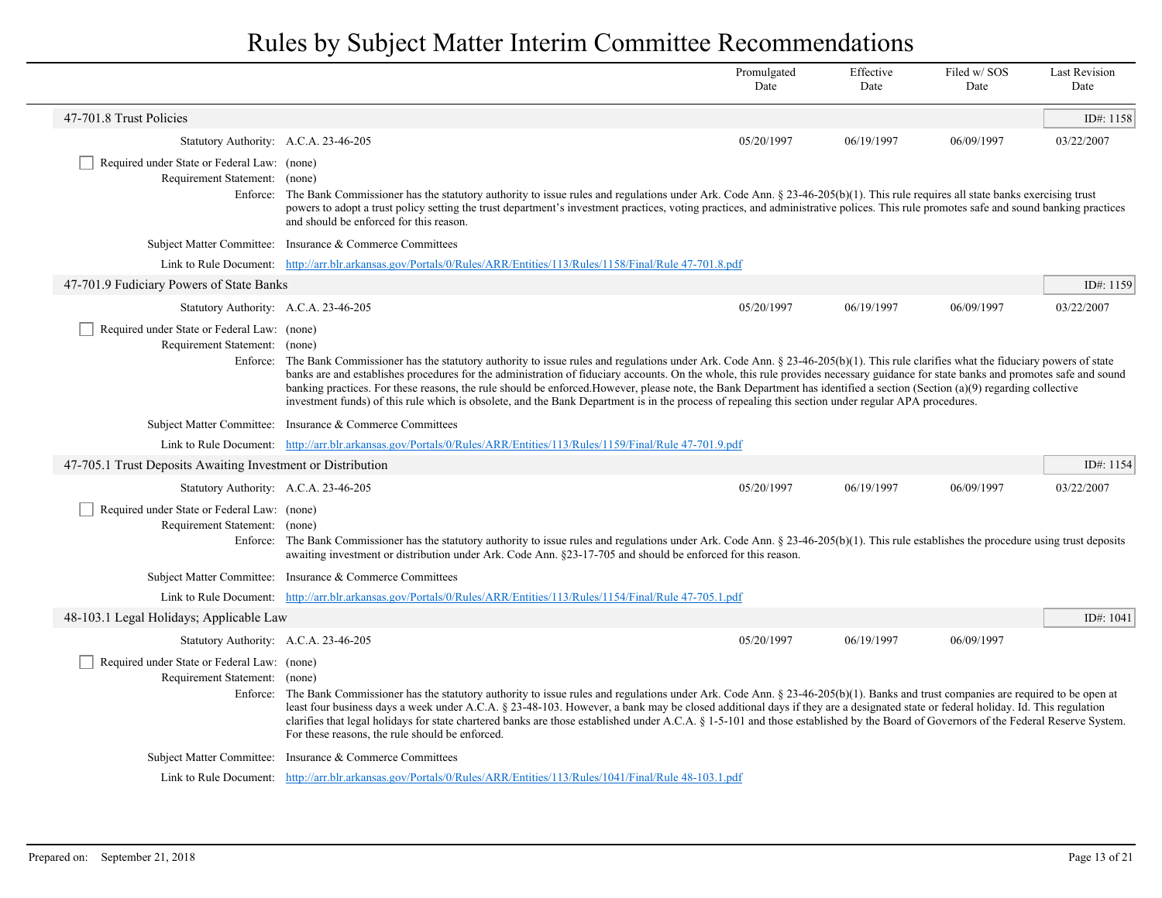|                                                                              |                                                                                                                                                                                                                                                                                                                                                                                                                                                                                                                                                                                                                                                                                                                     | Promulgated<br>Date | Effective<br>Date | Filed w/SOS<br>Date | <b>Last Revision</b><br>Date |
|------------------------------------------------------------------------------|---------------------------------------------------------------------------------------------------------------------------------------------------------------------------------------------------------------------------------------------------------------------------------------------------------------------------------------------------------------------------------------------------------------------------------------------------------------------------------------------------------------------------------------------------------------------------------------------------------------------------------------------------------------------------------------------------------------------|---------------------|-------------------|---------------------|------------------------------|
| 47-701.8 Trust Policies                                                      |                                                                                                                                                                                                                                                                                                                                                                                                                                                                                                                                                                                                                                                                                                                     |                     |                   |                     | ID#: 1158                    |
| Statutory Authority: A.C.A. 23-46-205                                        |                                                                                                                                                                                                                                                                                                                                                                                                                                                                                                                                                                                                                                                                                                                     | 05/20/1997          | 06/19/1997        | 06/09/1997          | 03/22/2007                   |
| Required under State or Federal Law: (none)<br>Requirement Statement: (none) | Enforce: The Bank Commissioner has the statutory authority to issue rules and regulations under Ark. Code Ann. § 23-46-205(b)(1). This rule requires all state banks exercising trust<br>powers to adopt a trust policy setting the trust department's investment practices, voting practices, and administrative polices. This rule promotes safe and sound banking practices<br>and should be enforced for this reason.                                                                                                                                                                                                                                                                                           |                     |                   |                     |                              |
|                                                                              | Subject Matter Committee: Insurance & Commerce Committees                                                                                                                                                                                                                                                                                                                                                                                                                                                                                                                                                                                                                                                           |                     |                   |                     |                              |
|                                                                              | Link to Rule Document: http://arr.blr.arkansas.gov/Portals/0/Rules/ARR/Entities/113/Rules/1158/Final/Rule 47-701.8.pdf                                                                                                                                                                                                                                                                                                                                                                                                                                                                                                                                                                                              |                     |                   |                     |                              |
| 47-701.9 Fudiciary Powers of State Banks                                     |                                                                                                                                                                                                                                                                                                                                                                                                                                                                                                                                                                                                                                                                                                                     |                     |                   |                     | ID#: 1159                    |
| Statutory Authority: A.C.A. 23-46-205                                        |                                                                                                                                                                                                                                                                                                                                                                                                                                                                                                                                                                                                                                                                                                                     | 05/20/1997          | 06/19/1997        | 06/09/1997          | 03/22/2007                   |
| Required under State or Federal Law: (none)<br>Requirement Statement: (none) | Enforce: The Bank Commissioner has the statutory authority to issue rules and regulations under Ark. Code Ann. § 23-46-205(b)(1). This rule clarifies what the fiduciary powers of state<br>banks are and establishes procedures for the administration of fiduciary accounts. On the whole, this rule provides necessary guidance for state banks and promotes safe and sound<br>banking practices. For these reasons, the rule should be enforced. However, please note, the Bank Department has identified a section (Section (a)(9) regarding collective<br>investment funds) of this rule which is obsolete, and the Bank Department is in the process of repealing this section under regular APA procedures. |                     |                   |                     |                              |
|                                                                              | Subject Matter Committee: Insurance & Commerce Committees                                                                                                                                                                                                                                                                                                                                                                                                                                                                                                                                                                                                                                                           |                     |                   |                     |                              |
|                                                                              | Link to Rule Document: http://arr.blr.arkansas.gov/Portals/0/Rules/ARR/Entities/113/Rules/1159/Final/Rule 47-701.9.pdf                                                                                                                                                                                                                                                                                                                                                                                                                                                                                                                                                                                              |                     |                   |                     |                              |
| 47-705.1 Trust Deposits Awaiting Investment or Distribution                  |                                                                                                                                                                                                                                                                                                                                                                                                                                                                                                                                                                                                                                                                                                                     |                     |                   |                     | ID#: $1154$                  |
| Statutory Authority: A.C.A. 23-46-205                                        |                                                                                                                                                                                                                                                                                                                                                                                                                                                                                                                                                                                                                                                                                                                     | 05/20/1997          | 06/19/1997        | 06/09/1997          | 03/22/2007                   |
| Required under State or Federal Law: (none)<br>Requirement Statement: (none) | Enforce: The Bank Commissioner has the statutory authority to issue rules and regulations under Ark. Code Ann. § 23-46-205(b)(1). This rule establishes the procedure using trust deposits<br>awaiting investment or distribution under Ark. Code Ann. §23-17-705 and should be enforced for this reason.                                                                                                                                                                                                                                                                                                                                                                                                           |                     |                   |                     |                              |
|                                                                              | Subject Matter Committee: Insurance & Commerce Committees                                                                                                                                                                                                                                                                                                                                                                                                                                                                                                                                                                                                                                                           |                     |                   |                     |                              |
|                                                                              | Link to Rule Document: http://arr.blr.arkansas.gov/Portals/0/Rules/ARR/Entities/113/Rules/1154/Final/Rule 47-705.1.pdf                                                                                                                                                                                                                                                                                                                                                                                                                                                                                                                                                                                              |                     |                   |                     |                              |
| 48-103.1 Legal Holidays; Applicable Law                                      |                                                                                                                                                                                                                                                                                                                                                                                                                                                                                                                                                                                                                                                                                                                     |                     |                   |                     | ID#: 1041                    |
| Statutory Authority: A.C.A. 23-46-205                                        |                                                                                                                                                                                                                                                                                                                                                                                                                                                                                                                                                                                                                                                                                                                     | 05/20/1997          | 06/19/1997        | 06/09/1997          |                              |
| Required under State or Federal Law: (none)<br>Requirement Statement: (none) | Enforce: The Bank Commissioner has the statutory authority to issue rules and regulations under Ark. Code Ann. § 23-46-205(b)(1). Banks and trust companies are required to be open at<br>least four business days a week under A.C.A. § 23-48-103. However, a bank may be closed additional days if they are a designated state or federal holiday. Id. This regulation<br>clarifies that legal holidays for state chartered banks are those established under A.C.A. § 1-5-101 and those established by the Board of Governors of the Federal Reserve System.<br>For these reasons, the rule should be enforced.                                                                                                  |                     |                   |                     |                              |
|                                                                              | Subject Matter Committee: Insurance & Commerce Committees                                                                                                                                                                                                                                                                                                                                                                                                                                                                                                                                                                                                                                                           |                     |                   |                     |                              |
|                                                                              | Link to Rule Document: http://arr.blr.arkansas.gov/Portals/0/Rules/ARR/Entities/113/Rules/1041/Final/Rule 48-103.1.pdf                                                                                                                                                                                                                                                                                                                                                                                                                                                                                                                                                                                              |                     |                   |                     |                              |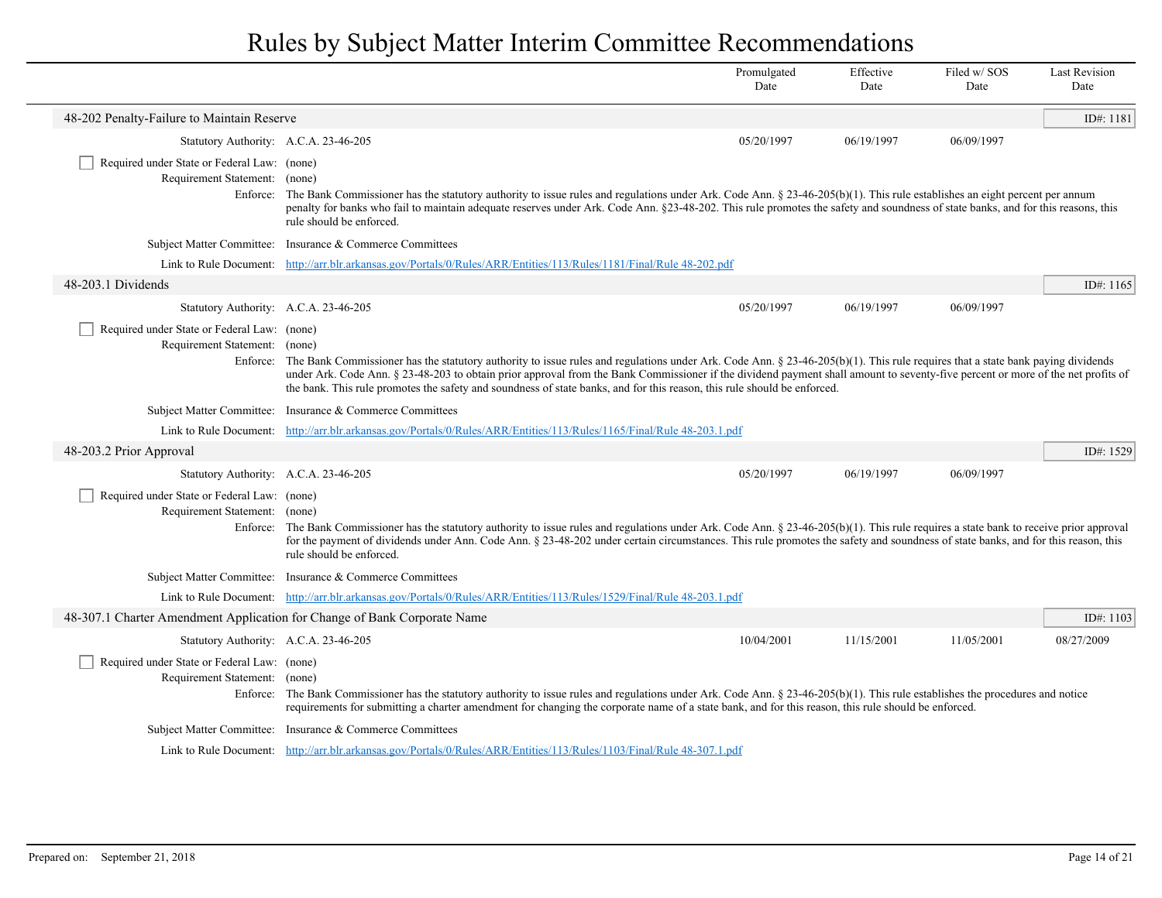| 48-202 Penalty-Failure to Maintain Reserve<br>Statutory Authority: A.C.A. 23-46-205<br>05/20/1997<br>06/19/1997<br>06/09/1997<br>Required under State or Federal Law: (none)<br>Requirement Statement: (none)<br>Enforce: The Bank Commissioner has the statutory authority to issue rules and regulations under Ark. Code Ann. § 23-46-205(b)(1). This rule establishes an eight percent per annum<br>penalty for banks who fail to maintain adequate reserves under Ark. Code Ann. §23-48-202. This rule promotes the safety and soundness of state banks, and for this reasons, this<br>rule should be enforced.<br>Subject Matter Committee: Insurance & Commerce Committees<br>Link to Rule Document: http://arr.blr.arkansas.gov/Portals/0/Rules/ARR/Entities/113/Rules/1181/Final/Rule 48-202.pdf<br>48-203.1 Dividends<br>Statutory Authority: A.C.A. 23-46-205<br>05/20/1997<br>06/19/1997<br>06/09/1997<br>Required under State or Federal Law: (none)<br>Requirement Statement: (none)<br>Enforce: The Bank Commissioner has the statutory authority to issue rules and regulations under Ark. Code Ann. § 23-46-205(b)(1). This rule requires that a state bank paying dividends<br>under Ark. Code Ann. § 23-48-203 to obtain prior approval from the Bank Commissioner if the dividend payment shall amount to seventy-five percent or more of the net profits of<br>the bank. This rule promotes the safety and soundness of state banks, and for this reason, this rule should be enforced.<br>Subject Matter Committee: Insurance & Commerce Committees<br>Link to Rule Document: http://arr.blr.arkansas.gov/Portals/0/Rules/ARR/Entities/113/Rules/1165/Final/Rule 48-203.1.pdf<br>48-203.2 Prior Approval<br>Statutory Authority: A.C.A. 23-46-205<br>05/20/1997<br>06/19/1997<br>06/09/1997<br>Required under State or Federal Law: (none)<br>Requirement Statement: (none)<br>Enforce: The Bank Commissioner has the statutory authority to issue rules and regulations under Ark. Code Ann. § 23-46-205(b)(1). This rule requires a state bank to receive prior approval<br>for the payment of dividends under Ann. Code Ann. § 23-48-202 under certain circumstances. This rule promotes the safety and soundness of state banks, and for this reason, this<br>rule should be enforced.<br>Subject Matter Committee: Insurance & Commerce Committees<br>Link to Rule Document: http://arr.blr.arkansas.gov/Portals/0/Rules/ARR/Entities/113/Rules/1529/Final/Rule 48-203.1.pdf<br>48-307.1 Charter Amendment Application for Change of Bank Corporate Name<br>10/04/2001<br>11/15/2001<br>11/05/2001<br>08/27/2009<br>Statutory Authority: A.C.A. 23-46-205<br>Required under State or Federal Law: (none)<br>Requirement Statement: (none)<br>Enforce: The Bank Commissioner has the statutory authority to issue rules and regulations under Ark. Code Ann. § 23-46-205(b)(1). This rule establishes the procedures and notice<br>requirements for submitting a charter amendment for changing the corporate name of a state bank, and for this reason, this rule should be enforced.<br>Subject Matter Committee: Insurance & Commerce Committees<br>Link to Rule Document: http://arr.blr.arkansas.gov/Portals/0/Rules/ARR/Entities/113/Rules/1103/Final/Rule 48-307.1.pdf |  | Promulgated<br>Date | Effective<br>Date | Filed w/SOS<br>Date | <b>Last Revision</b><br>Date |
|--------------------------------------------------------------------------------------------------------------------------------------------------------------------------------------------------------------------------------------------------------------------------------------------------------------------------------------------------------------------------------------------------------------------------------------------------------------------------------------------------------------------------------------------------------------------------------------------------------------------------------------------------------------------------------------------------------------------------------------------------------------------------------------------------------------------------------------------------------------------------------------------------------------------------------------------------------------------------------------------------------------------------------------------------------------------------------------------------------------------------------------------------------------------------------------------------------------------------------------------------------------------------------------------------------------------------------------------------------------------------------------------------------------------------------------------------------------------------------------------------------------------------------------------------------------------------------------------------------------------------------------------------------------------------------------------------------------------------------------------------------------------------------------------------------------------------------------------------------------------------------------------------------------------------------------------------------------------------------------------------------------------------------------------------------------------------------------------------------------------------------------------------------------------------------------------------------------------------------------------------------------------------------------------------------------------------------------------------------------------------------------------------------------------------------------------------------------------------------------------------------------------------------------------------------------------------------------------------------------------------------------------------------------------------------------------------------------------------------------------------------------------------------------------------------------------------------------------------------------------------------------------------------------------------------------------------------------------------------------------------------------------------------------------------------------------------------------------------------------------------------------------------------------------------------------------------------------------------------------------------------------------------------------------------------|--|---------------------|-------------------|---------------------|------------------------------|
|                                                                                                                                                                                                                                                                                                                                                                                                                                                                                                                                                                                                                                                                                                                                                                                                                                                                                                                                                                                                                                                                                                                                                                                                                                                                                                                                                                                                                                                                                                                                                                                                                                                                                                                                                                                                                                                                                                                                                                                                                                                                                                                                                                                                                                                                                                                                                                                                                                                                                                                                                                                                                                                                                                                                                                                                                                                                                                                                                                                                                                                                                                                                                                                                                                                                                                        |  |                     |                   |                     | ID#: 1181                    |
|                                                                                                                                                                                                                                                                                                                                                                                                                                                                                                                                                                                                                                                                                                                                                                                                                                                                                                                                                                                                                                                                                                                                                                                                                                                                                                                                                                                                                                                                                                                                                                                                                                                                                                                                                                                                                                                                                                                                                                                                                                                                                                                                                                                                                                                                                                                                                                                                                                                                                                                                                                                                                                                                                                                                                                                                                                                                                                                                                                                                                                                                                                                                                                                                                                                                                                        |  |                     |                   |                     |                              |
|                                                                                                                                                                                                                                                                                                                                                                                                                                                                                                                                                                                                                                                                                                                                                                                                                                                                                                                                                                                                                                                                                                                                                                                                                                                                                                                                                                                                                                                                                                                                                                                                                                                                                                                                                                                                                                                                                                                                                                                                                                                                                                                                                                                                                                                                                                                                                                                                                                                                                                                                                                                                                                                                                                                                                                                                                                                                                                                                                                                                                                                                                                                                                                                                                                                                                                        |  |                     |                   |                     |                              |
|                                                                                                                                                                                                                                                                                                                                                                                                                                                                                                                                                                                                                                                                                                                                                                                                                                                                                                                                                                                                                                                                                                                                                                                                                                                                                                                                                                                                                                                                                                                                                                                                                                                                                                                                                                                                                                                                                                                                                                                                                                                                                                                                                                                                                                                                                                                                                                                                                                                                                                                                                                                                                                                                                                                                                                                                                                                                                                                                                                                                                                                                                                                                                                                                                                                                                                        |  |                     |                   |                     |                              |
|                                                                                                                                                                                                                                                                                                                                                                                                                                                                                                                                                                                                                                                                                                                                                                                                                                                                                                                                                                                                                                                                                                                                                                                                                                                                                                                                                                                                                                                                                                                                                                                                                                                                                                                                                                                                                                                                                                                                                                                                                                                                                                                                                                                                                                                                                                                                                                                                                                                                                                                                                                                                                                                                                                                                                                                                                                                                                                                                                                                                                                                                                                                                                                                                                                                                                                        |  |                     |                   |                     |                              |
|                                                                                                                                                                                                                                                                                                                                                                                                                                                                                                                                                                                                                                                                                                                                                                                                                                                                                                                                                                                                                                                                                                                                                                                                                                                                                                                                                                                                                                                                                                                                                                                                                                                                                                                                                                                                                                                                                                                                                                                                                                                                                                                                                                                                                                                                                                                                                                                                                                                                                                                                                                                                                                                                                                                                                                                                                                                                                                                                                                                                                                                                                                                                                                                                                                                                                                        |  |                     |                   |                     | ID#: 1165                    |
|                                                                                                                                                                                                                                                                                                                                                                                                                                                                                                                                                                                                                                                                                                                                                                                                                                                                                                                                                                                                                                                                                                                                                                                                                                                                                                                                                                                                                                                                                                                                                                                                                                                                                                                                                                                                                                                                                                                                                                                                                                                                                                                                                                                                                                                                                                                                                                                                                                                                                                                                                                                                                                                                                                                                                                                                                                                                                                                                                                                                                                                                                                                                                                                                                                                                                                        |  |                     |                   |                     |                              |
|                                                                                                                                                                                                                                                                                                                                                                                                                                                                                                                                                                                                                                                                                                                                                                                                                                                                                                                                                                                                                                                                                                                                                                                                                                                                                                                                                                                                                                                                                                                                                                                                                                                                                                                                                                                                                                                                                                                                                                                                                                                                                                                                                                                                                                                                                                                                                                                                                                                                                                                                                                                                                                                                                                                                                                                                                                                                                                                                                                                                                                                                                                                                                                                                                                                                                                        |  |                     |                   |                     |                              |
|                                                                                                                                                                                                                                                                                                                                                                                                                                                                                                                                                                                                                                                                                                                                                                                                                                                                                                                                                                                                                                                                                                                                                                                                                                                                                                                                                                                                                                                                                                                                                                                                                                                                                                                                                                                                                                                                                                                                                                                                                                                                                                                                                                                                                                                                                                                                                                                                                                                                                                                                                                                                                                                                                                                                                                                                                                                                                                                                                                                                                                                                                                                                                                                                                                                                                                        |  |                     |                   |                     |                              |
|                                                                                                                                                                                                                                                                                                                                                                                                                                                                                                                                                                                                                                                                                                                                                                                                                                                                                                                                                                                                                                                                                                                                                                                                                                                                                                                                                                                                                                                                                                                                                                                                                                                                                                                                                                                                                                                                                                                                                                                                                                                                                                                                                                                                                                                                                                                                                                                                                                                                                                                                                                                                                                                                                                                                                                                                                                                                                                                                                                                                                                                                                                                                                                                                                                                                                                        |  |                     |                   |                     |                              |
|                                                                                                                                                                                                                                                                                                                                                                                                                                                                                                                                                                                                                                                                                                                                                                                                                                                                                                                                                                                                                                                                                                                                                                                                                                                                                                                                                                                                                                                                                                                                                                                                                                                                                                                                                                                                                                                                                                                                                                                                                                                                                                                                                                                                                                                                                                                                                                                                                                                                                                                                                                                                                                                                                                                                                                                                                                                                                                                                                                                                                                                                                                                                                                                                                                                                                                        |  |                     |                   |                     | ID#: 1529                    |
|                                                                                                                                                                                                                                                                                                                                                                                                                                                                                                                                                                                                                                                                                                                                                                                                                                                                                                                                                                                                                                                                                                                                                                                                                                                                                                                                                                                                                                                                                                                                                                                                                                                                                                                                                                                                                                                                                                                                                                                                                                                                                                                                                                                                                                                                                                                                                                                                                                                                                                                                                                                                                                                                                                                                                                                                                                                                                                                                                                                                                                                                                                                                                                                                                                                                                                        |  |                     |                   |                     |                              |
|                                                                                                                                                                                                                                                                                                                                                                                                                                                                                                                                                                                                                                                                                                                                                                                                                                                                                                                                                                                                                                                                                                                                                                                                                                                                                                                                                                                                                                                                                                                                                                                                                                                                                                                                                                                                                                                                                                                                                                                                                                                                                                                                                                                                                                                                                                                                                                                                                                                                                                                                                                                                                                                                                                                                                                                                                                                                                                                                                                                                                                                                                                                                                                                                                                                                                                        |  |                     |                   |                     |                              |
|                                                                                                                                                                                                                                                                                                                                                                                                                                                                                                                                                                                                                                                                                                                                                                                                                                                                                                                                                                                                                                                                                                                                                                                                                                                                                                                                                                                                                                                                                                                                                                                                                                                                                                                                                                                                                                                                                                                                                                                                                                                                                                                                                                                                                                                                                                                                                                                                                                                                                                                                                                                                                                                                                                                                                                                                                                                                                                                                                                                                                                                                                                                                                                                                                                                                                                        |  |                     |                   |                     |                              |
|                                                                                                                                                                                                                                                                                                                                                                                                                                                                                                                                                                                                                                                                                                                                                                                                                                                                                                                                                                                                                                                                                                                                                                                                                                                                                                                                                                                                                                                                                                                                                                                                                                                                                                                                                                                                                                                                                                                                                                                                                                                                                                                                                                                                                                                                                                                                                                                                                                                                                                                                                                                                                                                                                                                                                                                                                                                                                                                                                                                                                                                                                                                                                                                                                                                                                                        |  |                     |                   |                     |                              |
|                                                                                                                                                                                                                                                                                                                                                                                                                                                                                                                                                                                                                                                                                                                                                                                                                                                                                                                                                                                                                                                                                                                                                                                                                                                                                                                                                                                                                                                                                                                                                                                                                                                                                                                                                                                                                                                                                                                                                                                                                                                                                                                                                                                                                                                                                                                                                                                                                                                                                                                                                                                                                                                                                                                                                                                                                                                                                                                                                                                                                                                                                                                                                                                                                                                                                                        |  |                     |                   |                     | ID#: $1103$                  |
|                                                                                                                                                                                                                                                                                                                                                                                                                                                                                                                                                                                                                                                                                                                                                                                                                                                                                                                                                                                                                                                                                                                                                                                                                                                                                                                                                                                                                                                                                                                                                                                                                                                                                                                                                                                                                                                                                                                                                                                                                                                                                                                                                                                                                                                                                                                                                                                                                                                                                                                                                                                                                                                                                                                                                                                                                                                                                                                                                                                                                                                                                                                                                                                                                                                                                                        |  |                     |                   |                     |                              |
|                                                                                                                                                                                                                                                                                                                                                                                                                                                                                                                                                                                                                                                                                                                                                                                                                                                                                                                                                                                                                                                                                                                                                                                                                                                                                                                                                                                                                                                                                                                                                                                                                                                                                                                                                                                                                                                                                                                                                                                                                                                                                                                                                                                                                                                                                                                                                                                                                                                                                                                                                                                                                                                                                                                                                                                                                                                                                                                                                                                                                                                                                                                                                                                                                                                                                                        |  |                     |                   |                     |                              |
|                                                                                                                                                                                                                                                                                                                                                                                                                                                                                                                                                                                                                                                                                                                                                                                                                                                                                                                                                                                                                                                                                                                                                                                                                                                                                                                                                                                                                                                                                                                                                                                                                                                                                                                                                                                                                                                                                                                                                                                                                                                                                                                                                                                                                                                                                                                                                                                                                                                                                                                                                                                                                                                                                                                                                                                                                                                                                                                                                                                                                                                                                                                                                                                                                                                                                                        |  |                     |                   |                     |                              |
|                                                                                                                                                                                                                                                                                                                                                                                                                                                                                                                                                                                                                                                                                                                                                                                                                                                                                                                                                                                                                                                                                                                                                                                                                                                                                                                                                                                                                                                                                                                                                                                                                                                                                                                                                                                                                                                                                                                                                                                                                                                                                                                                                                                                                                                                                                                                                                                                                                                                                                                                                                                                                                                                                                                                                                                                                                                                                                                                                                                                                                                                                                                                                                                                                                                                                                        |  |                     |                   |                     |                              |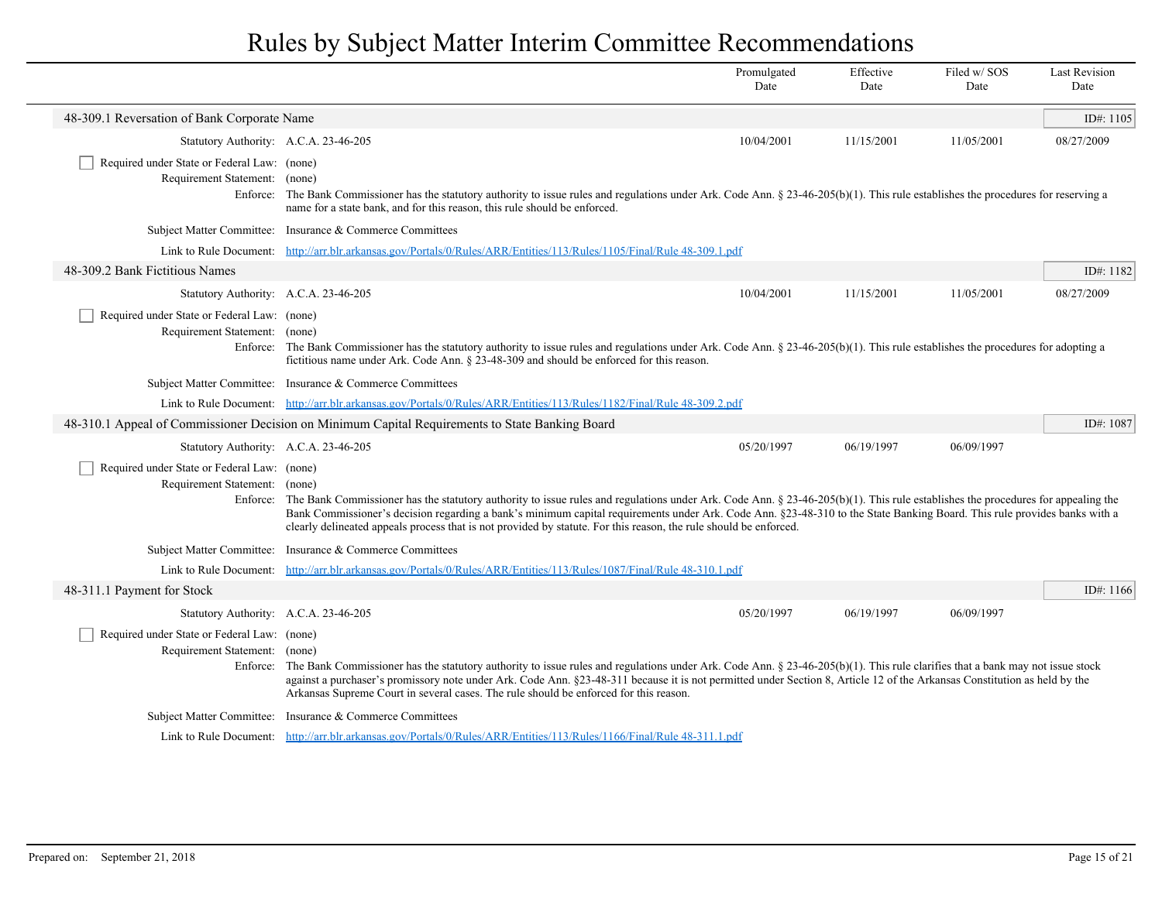|                                                                              |                                                                                                                                                                                                                                                                                                                                                                                                                                                                                           | Promulgated<br>Date | Effective<br>Date | Filed w/SOS<br>Date | <b>Last Revision</b><br>Date |
|------------------------------------------------------------------------------|-------------------------------------------------------------------------------------------------------------------------------------------------------------------------------------------------------------------------------------------------------------------------------------------------------------------------------------------------------------------------------------------------------------------------------------------------------------------------------------------|---------------------|-------------------|---------------------|------------------------------|
| 48-309.1 Reversation of Bank Corporate Name                                  |                                                                                                                                                                                                                                                                                                                                                                                                                                                                                           |                     |                   |                     | ID#: 1105                    |
| Statutory Authority: A.C.A. 23-46-205                                        |                                                                                                                                                                                                                                                                                                                                                                                                                                                                                           | 10/04/2001          | 11/15/2001        | 11/05/2001          | 08/27/2009                   |
| Required under State or Federal Law: (none)<br>Requirement Statement: (none) | Enforce: The Bank Commissioner has the statutory authority to issue rules and regulations under Ark. Code Ann. § 23-46-205(b)(1). This rule establishes the procedures for reserving a<br>name for a state bank, and for this reason, this rule should be enforced.                                                                                                                                                                                                                       |                     |                   |                     |                              |
|                                                                              | Subject Matter Committee: Insurance & Commerce Committees                                                                                                                                                                                                                                                                                                                                                                                                                                 |                     |                   |                     |                              |
|                                                                              | Link to Rule Document: http://arr.blr.arkansas.gov/Portals/0/Rules/ARR/Entities/113/Rules/1105/Final/Rule 48-309.1.pdf                                                                                                                                                                                                                                                                                                                                                                    |                     |                   |                     |                              |
| 48-309.2 Bank Fictitious Names                                               |                                                                                                                                                                                                                                                                                                                                                                                                                                                                                           |                     |                   |                     | ID#: 1182                    |
| Statutory Authority: A.C.A. 23-46-205                                        |                                                                                                                                                                                                                                                                                                                                                                                                                                                                                           | 10/04/2001          | 11/15/2001        | 11/05/2001          | 08/27/2009                   |
| Required under State or Federal Law: (none)<br>Requirement Statement: (none) | Enforce: The Bank Commissioner has the statutory authority to issue rules and regulations under Ark. Code Ann. § 23-46-205(b)(1). This rule establishes the procedures for adopting a<br>fictitious name under Ark. Code Ann. § 23-48-309 and should be enforced for this reason.                                                                                                                                                                                                         |                     |                   |                     |                              |
|                                                                              | Subject Matter Committee: Insurance & Commerce Committees                                                                                                                                                                                                                                                                                                                                                                                                                                 |                     |                   |                     |                              |
|                                                                              | Link to Rule Document: http://arr.blr.arkansas.gov/Portals/0/Rules/ARR/Entities/113/Rules/1182/Final/Rule 48-309.2.pdf                                                                                                                                                                                                                                                                                                                                                                    |                     |                   |                     |                              |
|                                                                              | 48-310.1 Appeal of Commissioner Decision on Minimum Capital Requirements to State Banking Board                                                                                                                                                                                                                                                                                                                                                                                           |                     |                   |                     | ID#: 1087                    |
| Statutory Authority: A.C.A. 23-46-205                                        |                                                                                                                                                                                                                                                                                                                                                                                                                                                                                           | 05/20/1997          | 06/19/1997        | 06/09/1997          |                              |
| Required under State or Federal Law: (none)<br>Requirement Statement: (none) | Enforce: The Bank Commissioner has the statutory authority to issue rules and regulations under Ark. Code Ann. § 23-46-205(b)(1). This rule establishes the procedures for appealing the<br>Bank Commissioner's decision regarding a bank's minimum capital requirements under Ark. Code Ann. §23-48-310 to the State Banking Board. This rule provides banks with a<br>clearly delineated appeals process that is not provided by statute. For this reason, the rule should be enforced. |                     |                   |                     |                              |
|                                                                              | Subject Matter Committee: Insurance & Commerce Committees                                                                                                                                                                                                                                                                                                                                                                                                                                 |                     |                   |                     |                              |
|                                                                              | Link to Rule Document: http://arr.blr.arkansas.gov/Portals/0/Rules/ARR/Entities/113/Rules/1087/Final/Rule 48-310.1.pdf                                                                                                                                                                                                                                                                                                                                                                    |                     |                   |                     |                              |
| 48-311.1 Payment for Stock                                                   |                                                                                                                                                                                                                                                                                                                                                                                                                                                                                           |                     |                   |                     | ID#: $1166$                  |
| Statutory Authority: A.C.A. 23-46-205                                        |                                                                                                                                                                                                                                                                                                                                                                                                                                                                                           | 05/20/1997          | 06/19/1997        | 06/09/1997          |                              |
| Required under State or Federal Law: (none)<br>Requirement Statement: (none) | Enforce: The Bank Commissioner has the statutory authority to issue rules and regulations under Ark. Code Ann. § 23-46-205(b)(1). This rule clarifies that a bank may not issue stock<br>against a purchaser's promissory note under Ark. Code Ann. §23-48-311 because it is not permitted under Section 8, Article 12 of the Arkansas Constitution as held by the<br>Arkansas Supreme Court in several cases. The rule should be enforced for this reason.                               |                     |                   |                     |                              |
|                                                                              | Subject Matter Committee: Insurance & Commerce Committees                                                                                                                                                                                                                                                                                                                                                                                                                                 |                     |                   |                     |                              |
|                                                                              | Link to Rule Document: http://arr.blr.arkansas.gov/Portals/0/Rules/ARR/Entities/113/Rules/1166/Final/Rule 48-311.1.pdf                                                                                                                                                                                                                                                                                                                                                                    |                     |                   |                     |                              |

 $\overline{\phantom{a}}$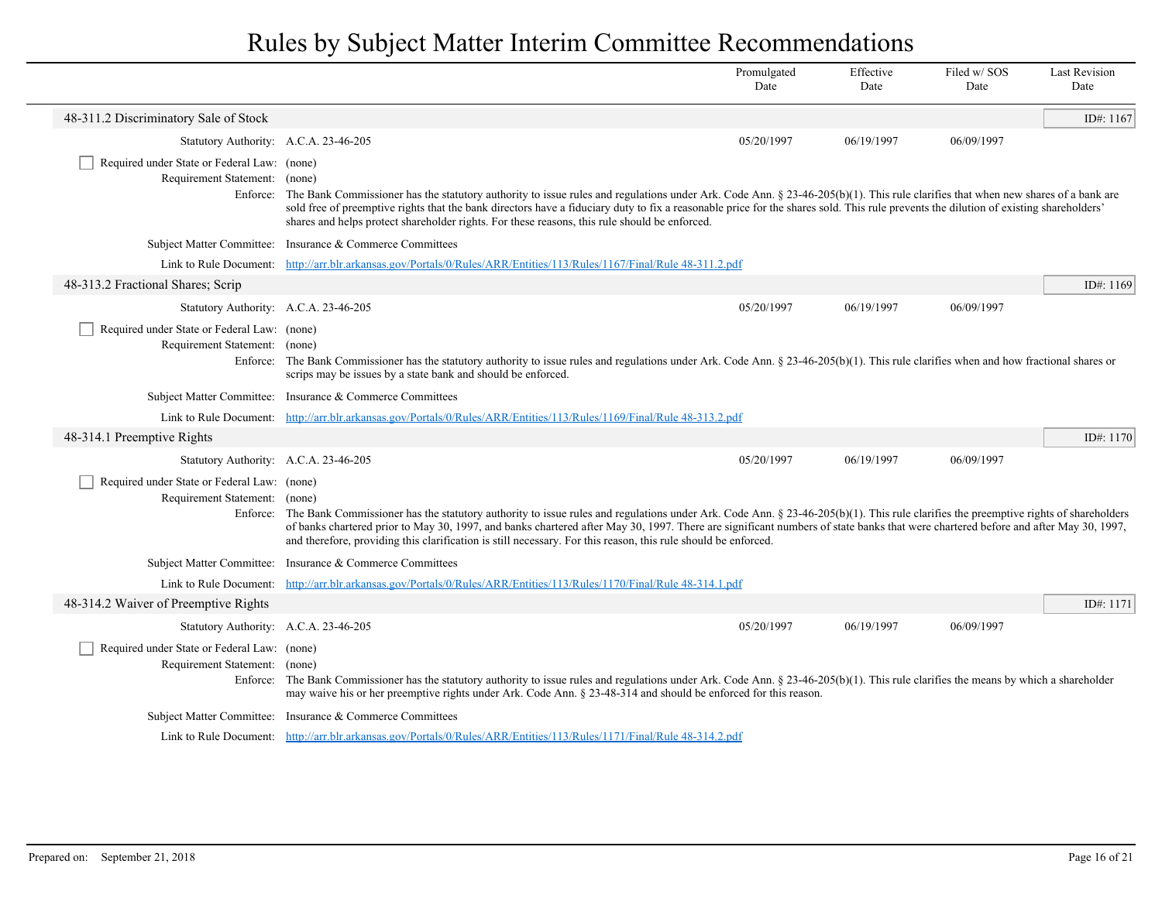|                                                                              |                                                                                                                                                                                                                                                                                                                                                                                                                                                                                                    | Promulgated<br>Date | Effective<br>Date | Filed w/SOS<br>Date | <b>Last Revision</b><br>Date |
|------------------------------------------------------------------------------|----------------------------------------------------------------------------------------------------------------------------------------------------------------------------------------------------------------------------------------------------------------------------------------------------------------------------------------------------------------------------------------------------------------------------------------------------------------------------------------------------|---------------------|-------------------|---------------------|------------------------------|
| 48-311.2 Discriminatory Sale of Stock                                        |                                                                                                                                                                                                                                                                                                                                                                                                                                                                                                    |                     |                   |                     | ID#: 1167                    |
| Statutory Authority: A.C.A. 23-46-205                                        |                                                                                                                                                                                                                                                                                                                                                                                                                                                                                                    | 05/20/1997          | 06/19/1997        | 06/09/1997          |                              |
| Required under State or Federal Law: (none)<br>Requirement Statement: (none) | Enforce: The Bank Commissioner has the statutory authority to issue rules and regulations under Ark. Code Ann. § 23-46-205(b)(1). This rule clarifies that when new shares of a bank are<br>sold free of preemptive rights that the bank directors have a fiduciary duty to fix a reasonable price for the shares sold. This rule prevents the dilution of existing shareholders'<br>shares and helps protect shareholder rights. For these reasons, this rule should be enforced.                 |                     |                   |                     |                              |
|                                                                              | Subject Matter Committee: Insurance & Commerce Committees                                                                                                                                                                                                                                                                                                                                                                                                                                          |                     |                   |                     |                              |
|                                                                              | Link to Rule Document: http://arr.blr.arkansas.gov/Portals/0/Rules/ARR/Entities/113/Rules/1167/Final/Rule 48-311.2.pdf                                                                                                                                                                                                                                                                                                                                                                             |                     |                   |                     |                              |
| 48-313.2 Fractional Shares; Scrip                                            |                                                                                                                                                                                                                                                                                                                                                                                                                                                                                                    |                     |                   |                     | ID#: 1169                    |
| Statutory Authority: A.C.A. 23-46-205                                        |                                                                                                                                                                                                                                                                                                                                                                                                                                                                                                    | 05/20/1997          | 06/19/1997        | 06/09/1997          |                              |
| Required under State or Federal Law: (none)<br>Requirement Statement: (none) | Enforce: The Bank Commissioner has the statutory authority to issue rules and regulations under Ark. Code Ann. § 23-46-205(b)(1). This rule clarifies when and how fractional shares or<br>scrips may be issues by a state bank and should be enforced.                                                                                                                                                                                                                                            |                     |                   |                     |                              |
|                                                                              | Subject Matter Committee: Insurance & Commerce Committees                                                                                                                                                                                                                                                                                                                                                                                                                                          |                     |                   |                     |                              |
|                                                                              | Link to Rule Document: http://arr.blr.arkansas.gov/Portals/0/Rules/ARR/Entities/113/Rules/1169/Final/Rule 48-313.2.pdf                                                                                                                                                                                                                                                                                                                                                                             |                     |                   |                     |                              |
| 48-314.1 Preemptive Rights                                                   |                                                                                                                                                                                                                                                                                                                                                                                                                                                                                                    |                     |                   |                     | ID#: 1170                    |
| Statutory Authority: A.C.A. 23-46-205                                        |                                                                                                                                                                                                                                                                                                                                                                                                                                                                                                    | 05/20/1997          | 06/19/1997        | 06/09/1997          |                              |
| Required under State or Federal Law: (none)<br>Requirement Statement: (none) | Enforce: The Bank Commissioner has the statutory authority to issue rules and regulations under Ark. Code Ann. § 23-46-205(b)(1). This rule clarifies the preemptive rights of shareholders<br>of banks chartered prior to May 30, 1997, and banks chartered after May 30, 1997. There are significant numbers of state banks that were chartered before and after May 30, 1997,<br>and therefore, providing this clarification is still necessary. For this reason, this rule should be enforced. |                     |                   |                     |                              |
|                                                                              | Subject Matter Committee: Insurance & Commerce Committees                                                                                                                                                                                                                                                                                                                                                                                                                                          |                     |                   |                     |                              |
|                                                                              | Link to Rule Document: http://arr.blr.arkansas.gov/Portals/0/Rules/ARR/Entities/113/Rules/1170/Final/Rule 48-314.1.pdf                                                                                                                                                                                                                                                                                                                                                                             |                     |                   |                     |                              |
| 48-314.2 Waiver of Preemptive Rights                                         |                                                                                                                                                                                                                                                                                                                                                                                                                                                                                                    |                     |                   |                     | ID#: 1171                    |
| Statutory Authority: A.C.A. 23-46-205                                        |                                                                                                                                                                                                                                                                                                                                                                                                                                                                                                    | 05/20/1997          | 06/19/1997        | 06/09/1997          |                              |
| Required under State or Federal Law: (none)<br>Requirement Statement: (none) | Enforce: The Bank Commissioner has the statutory authority to issue rules and regulations under Ark. Code Ann. § 23-46-205(b)(1). This rule clarifies the means by which a shareholder<br>may waive his or her preemptive rights under Ark. Code Ann. § 23-48-314 and should be enforced for this reason.                                                                                                                                                                                          |                     |                   |                     |                              |
|                                                                              | Subject Matter Committee: Insurance & Commerce Committees                                                                                                                                                                                                                                                                                                                                                                                                                                          |                     |                   |                     |                              |
|                                                                              | Link to Rule Document: http://arr.blr.arkansas.gov/Portals/0/Rules/ARR/Entities/113/Rules/1171/Final/Rule 48-314.2.pdf                                                                                                                                                                                                                                                                                                                                                                             |                     |                   |                     |                              |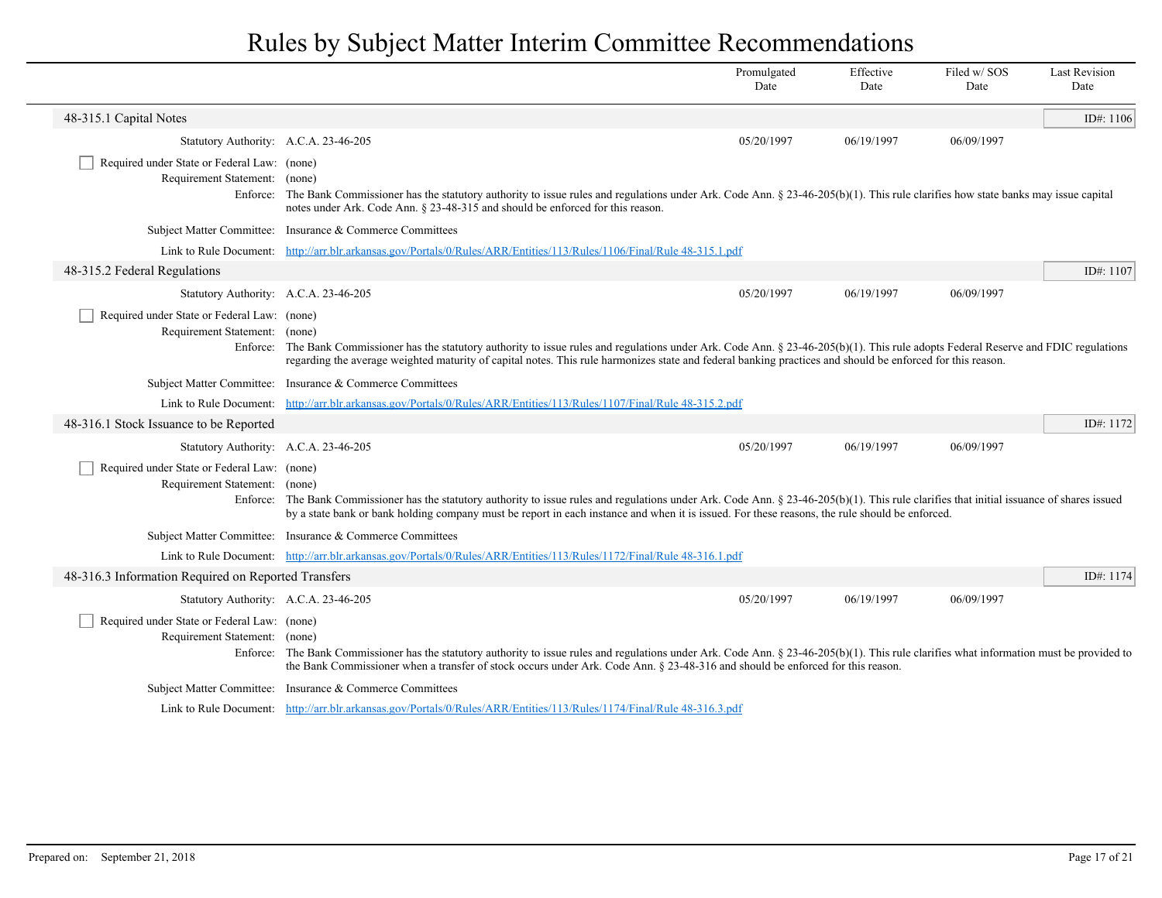|                                                                                          |                                                                                                                                                                                                                                                                                                                                                | Promulgated<br>Date | Effective<br>Date | Filed w/SOS<br>Date | <b>Last Revision</b><br>Date |
|------------------------------------------------------------------------------------------|------------------------------------------------------------------------------------------------------------------------------------------------------------------------------------------------------------------------------------------------------------------------------------------------------------------------------------------------|---------------------|-------------------|---------------------|------------------------------|
| 48-315.1 Capital Notes                                                                   |                                                                                                                                                                                                                                                                                                                                                |                     |                   |                     | ID#: 1106                    |
| Statutory Authority: A.C.A. 23-46-205                                                    |                                                                                                                                                                                                                                                                                                                                                | 05/20/1997          | 06/19/1997        | 06/09/1997          |                              |
| Required under State or Federal Law: (none)<br>Requirement Statement: (none)<br>Enforce: | The Bank Commissioner has the statutory authority to issue rules and regulations under Ark. Code Ann. § 23-46-205(b)(1). This rule clarifies how state banks may issue capital<br>notes under Ark. Code Ann. § 23-48-315 and should be enforced for this reason.                                                                               |                     |                   |                     |                              |
|                                                                                          | Subject Matter Committee: Insurance & Commerce Committees                                                                                                                                                                                                                                                                                      |                     |                   |                     |                              |
|                                                                                          | Link to Rule Document: http://arr.blr.arkansas.gov/Portals/0/Rules/ARR/Entities/113/Rules/1106/Final/Rule 48-315.1.pdf                                                                                                                                                                                                                         |                     |                   |                     |                              |
| 48-315.2 Federal Regulations                                                             |                                                                                                                                                                                                                                                                                                                                                |                     |                   |                     | ID#: 1107                    |
| Statutory Authority: A.C.A. 23-46-205                                                    |                                                                                                                                                                                                                                                                                                                                                | 05/20/1997          | 06/19/1997        | 06/09/1997          |                              |
| Required under State or Federal Law: (none)<br>Requirement Statement: (none)<br>Enforce: | The Bank Commissioner has the statutory authority to issue rules and regulations under Ark. Code Ann. § 23-46-205(b)(1). This rule adopts Federal Reserve and FDIC regulations<br>regarding the average weighted maturity of capital notes. This rule harmonizes state and federal banking practices and should be enforced for this reason.   |                     |                   |                     |                              |
|                                                                                          | Subject Matter Committee: Insurance & Commerce Committees                                                                                                                                                                                                                                                                                      |                     |                   |                     |                              |
|                                                                                          | Link to Rule Document: http://arr.blr.arkansas.gov/Portals/0/Rules/ARR/Entities/113/Rules/1107/Final/Rule 48-315.2.pdf                                                                                                                                                                                                                         |                     |                   |                     |                              |
| 48-316.1 Stock Issuance to be Reported                                                   |                                                                                                                                                                                                                                                                                                                                                |                     |                   |                     | ID#: 1172                    |
| Statutory Authority: A.C.A. 23-46-205                                                    |                                                                                                                                                                                                                                                                                                                                                | 05/20/1997          | 06/19/1997        | 06/09/1997          |                              |
| Required under State or Federal Law: (none)<br>Requirement Statement: (none)             | Enforce: The Bank Commissioner has the statutory authority to issue rules and regulations under Ark. Code Ann. § 23-46-205(b)(1). This rule clarifies that initial issuance of shares issued<br>by a state bank or bank holding company must be report in each instance and when it is issued. For these reasons, the rule should be enforced. |                     |                   |                     |                              |
|                                                                                          | Subject Matter Committee: Insurance & Commerce Committees                                                                                                                                                                                                                                                                                      |                     |                   |                     |                              |
|                                                                                          | Link to Rule Document: http://arr.blr.arkansas.gov/Portals/0/Rules/ARR/Entities/113/Rules/1172/Final/Rule 48-316.1.pdf                                                                                                                                                                                                                         |                     |                   |                     |                              |
| 48-316.3 Information Required on Reported Transfers                                      |                                                                                                                                                                                                                                                                                                                                                |                     |                   |                     | ID#: 1174                    |
| Statutory Authority: A.C.A. 23-46-205                                                    |                                                                                                                                                                                                                                                                                                                                                | 05/20/1997          | 06/19/1997        | 06/09/1997          |                              |
| Required under State or Federal Law: (none)<br>Requirement Statement: (none)             | Enforce: The Bank Commissioner has the statutory authority to issue rules and regulations under Ark. Code Ann. § 23-46-205(b)(1). This rule clarifies what information must be provided to<br>the Bank Commissioner when a transfer of stock occurs under Ark. Code Ann. § 23-48-316 and should be enforced for this reason.                   |                     |                   |                     |                              |
|                                                                                          | Subject Matter Committee: Insurance & Commerce Committees                                                                                                                                                                                                                                                                                      |                     |                   |                     |                              |
|                                                                                          | Link to Rule Document: http://arr.blr.arkansas.gov/Portals/0/Rules/ARR/Entities/113/Rules/1174/Final/Rule 48-316.3.pdf                                                                                                                                                                                                                         |                     |                   |                     |                              |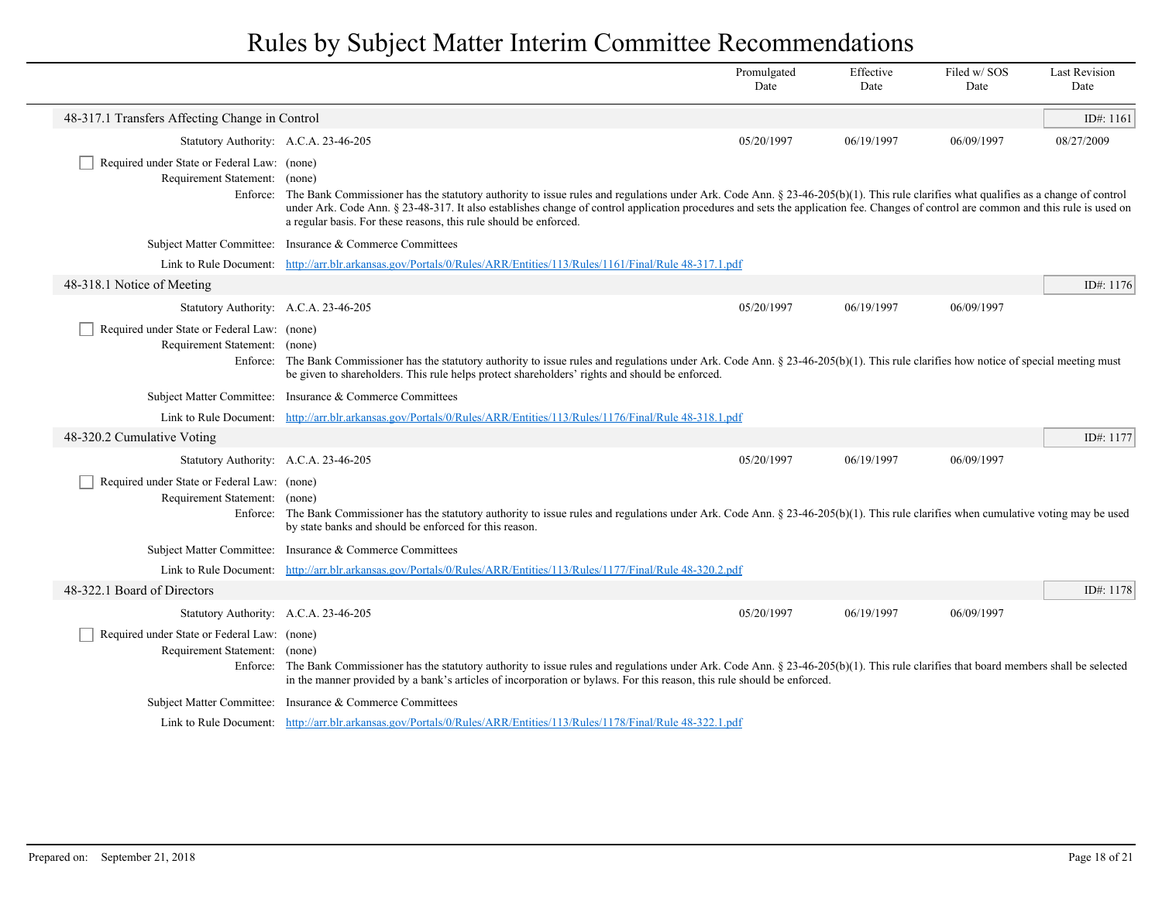|                                                                              |                                                                                                                                                                                                                                                                                                                                                                                                                                                         | Promulgated<br>Date | Effective<br>Date | Filed w/SOS<br>Date | <b>Last Revision</b><br>Date |
|------------------------------------------------------------------------------|---------------------------------------------------------------------------------------------------------------------------------------------------------------------------------------------------------------------------------------------------------------------------------------------------------------------------------------------------------------------------------------------------------------------------------------------------------|---------------------|-------------------|---------------------|------------------------------|
| 48-317.1 Transfers Affecting Change in Control                               |                                                                                                                                                                                                                                                                                                                                                                                                                                                         |                     |                   |                     | ID#: 1161                    |
| Statutory Authority: A.C.A. 23-46-205                                        |                                                                                                                                                                                                                                                                                                                                                                                                                                                         | 05/20/1997          | 06/19/1997        | 06/09/1997          | 08/27/2009                   |
| Required under State or Federal Law: (none)<br>Requirement Statement: (none) | Enforce: The Bank Commissioner has the statutory authority to issue rules and regulations under Ark. Code Ann. § 23-46-205(b)(1). This rule clarifies what qualifies as a change of control<br>under Ark. Code Ann. § 23-48-317. It also establishes change of control application procedures and sets the application fee. Changes of control are common and this rule is used on<br>a regular basis. For these reasons, this rule should be enforced. |                     |                   |                     |                              |
|                                                                              | Subject Matter Committee: Insurance & Commerce Committees                                                                                                                                                                                                                                                                                                                                                                                               |                     |                   |                     |                              |
|                                                                              | Link to Rule Document: http://arr.blr.arkansas.gov/Portals/0/Rules/ARR/Entities/113/Rules/1161/Final/Rule 48-317.1.pdf                                                                                                                                                                                                                                                                                                                                  |                     |                   |                     |                              |
| 48-318.1 Notice of Meeting                                                   |                                                                                                                                                                                                                                                                                                                                                                                                                                                         |                     |                   |                     | ID#: 1176                    |
| Statutory Authority: A.C.A. 23-46-205                                        |                                                                                                                                                                                                                                                                                                                                                                                                                                                         | 05/20/1997          | 06/19/1997        | 06/09/1997          |                              |
| Required under State or Federal Law: (none)<br>Requirement Statement: (none) | Enforce: The Bank Commissioner has the statutory authority to issue rules and regulations under Ark. Code Ann. § 23-46-205(b)(1). This rule clarifies how notice of special meeting must<br>be given to shareholders. This rule helps protect shareholders' rights and should be enforced.                                                                                                                                                              |                     |                   |                     |                              |
|                                                                              | Subject Matter Committee: Insurance & Commerce Committees                                                                                                                                                                                                                                                                                                                                                                                               |                     |                   |                     |                              |
|                                                                              | Link to Rule Document: http://arr.blr.arkansas.gov/Portals/0/Rules/ARR/Entities/113/Rules/1176/Final/Rule 48-318.1.pdf                                                                                                                                                                                                                                                                                                                                  |                     |                   |                     |                              |
| 48-320.2 Cumulative Voting                                                   |                                                                                                                                                                                                                                                                                                                                                                                                                                                         |                     |                   |                     | ID#: 1177                    |
| Statutory Authority: A.C.A. 23-46-205                                        |                                                                                                                                                                                                                                                                                                                                                                                                                                                         | 05/20/1997          | 06/19/1997        | 06/09/1997          |                              |
| Required under State or Federal Law: (none)<br>Requirement Statement: (none) | Enforce: The Bank Commissioner has the statutory authority to issue rules and regulations under Ark. Code Ann. § 23-46-205(b)(1). This rule clarifies when cumulative voting may be used<br>by state banks and should be enforced for this reason.                                                                                                                                                                                                      |                     |                   |                     |                              |
|                                                                              | Subject Matter Committee: Insurance & Commerce Committees                                                                                                                                                                                                                                                                                                                                                                                               |                     |                   |                     |                              |
|                                                                              | Link to Rule Document: http://arr.blr.arkansas.gov/Portals/0/Rules/ARR/Entities/113/Rules/1177/Final/Rule 48-320.2.pdf                                                                                                                                                                                                                                                                                                                                  |                     |                   |                     |                              |
| 48-322.1 Board of Directors                                                  |                                                                                                                                                                                                                                                                                                                                                                                                                                                         |                     |                   |                     | ID#: 1178                    |
| Statutory Authority: A.C.A. 23-46-205                                        |                                                                                                                                                                                                                                                                                                                                                                                                                                                         | 05/20/1997          | 06/19/1997        | 06/09/1997          |                              |
| Required under State or Federal Law: (none)<br>Requirement Statement: (none) | Enforce: The Bank Commissioner has the statutory authority to issue rules and regulations under Ark. Code Ann. § 23-46-205(b)(1). This rule clarifies that board members shall be selected<br>in the manner provided by a bank's articles of incorporation or bylaws. For this reason, this rule should be enforced.                                                                                                                                    |                     |                   |                     |                              |
|                                                                              | Subject Matter Committee: Insurance & Commerce Committees                                                                                                                                                                                                                                                                                                                                                                                               |                     |                   |                     |                              |
|                                                                              | Link to Rule Document: http://arr.blr.arkansas.gov/Portals/0/Rules/ARR/Entities/113/Rules/1178/Final/Rule 48-322.1.pdf                                                                                                                                                                                                                                                                                                                                  |                     |                   |                     |                              |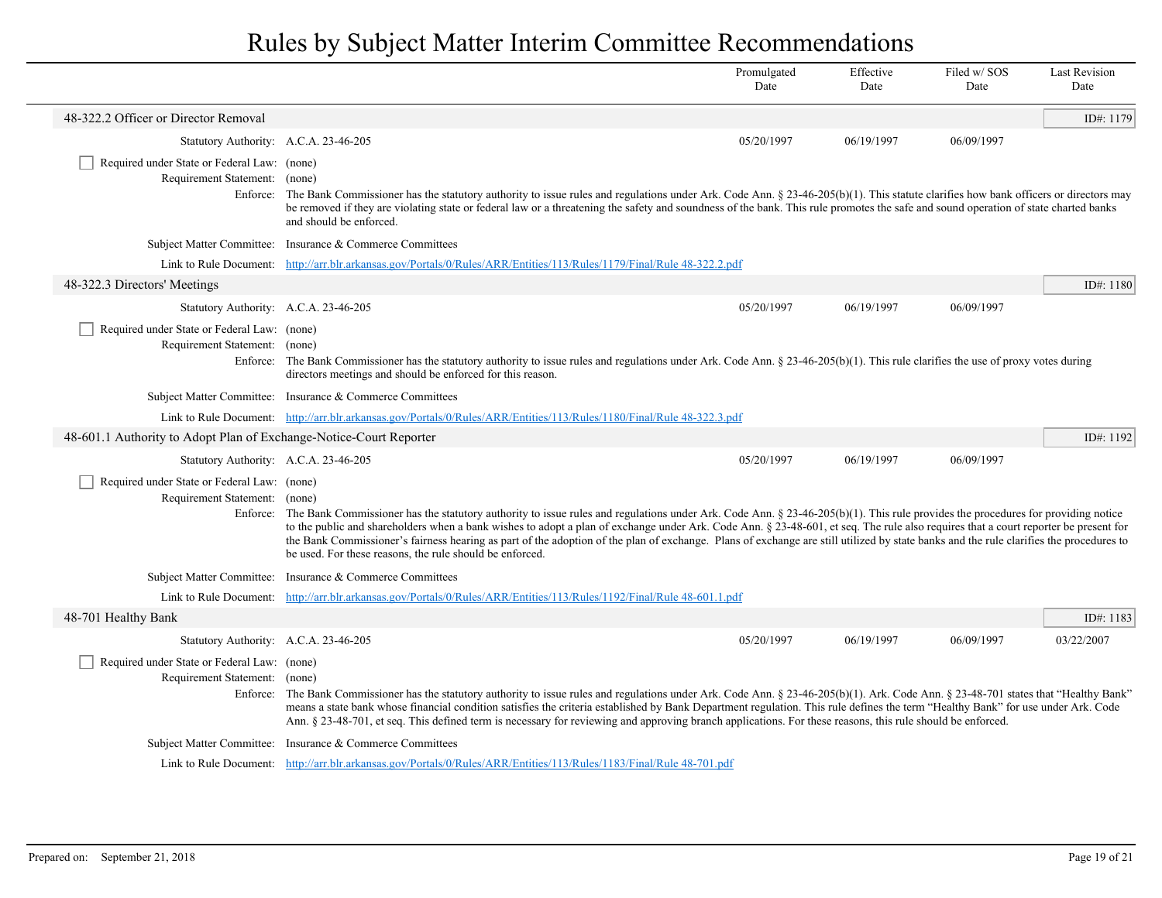|                                                                              |                                                                                                                                                                                                                                                                                                                                                                                                                                                                                                                                                                                                                                           | Promulgated<br>Date | Effective<br>Date | Filed w/SOS<br>Date | <b>Last Revision</b><br>Date |
|------------------------------------------------------------------------------|-------------------------------------------------------------------------------------------------------------------------------------------------------------------------------------------------------------------------------------------------------------------------------------------------------------------------------------------------------------------------------------------------------------------------------------------------------------------------------------------------------------------------------------------------------------------------------------------------------------------------------------------|---------------------|-------------------|---------------------|------------------------------|
| 48-322.2 Officer or Director Removal                                         |                                                                                                                                                                                                                                                                                                                                                                                                                                                                                                                                                                                                                                           |                     |                   |                     | ID#: 1179                    |
| Statutory Authority: A.C.A. 23-46-205                                        |                                                                                                                                                                                                                                                                                                                                                                                                                                                                                                                                                                                                                                           | 05/20/1997          | 06/19/1997        | 06/09/1997          |                              |
| Required under State or Federal Law: (none)<br>Requirement Statement: (none) | Enforce: The Bank Commissioner has the statutory authority to issue rules and regulations under Ark. Code Ann. § 23-46-205(b)(1). This statute clarifies how bank officers or directors may<br>be removed if they are violating state or federal law or a threatening the safety and soundness of the bank. This rule promotes the safe and sound operation of state charted banks<br>and should be enforced.                                                                                                                                                                                                                             |                     |                   |                     |                              |
|                                                                              | Subject Matter Committee: Insurance & Commerce Committees                                                                                                                                                                                                                                                                                                                                                                                                                                                                                                                                                                                 |                     |                   |                     |                              |
|                                                                              | Link to Rule Document: http://arr.blr.arkansas.gov/Portals/0/Rules/ARR/Entities/113/Rules/1179/Final/Rule 48-322.2.pdf                                                                                                                                                                                                                                                                                                                                                                                                                                                                                                                    |                     |                   |                     |                              |
| 48-322.3 Directors' Meetings                                                 |                                                                                                                                                                                                                                                                                                                                                                                                                                                                                                                                                                                                                                           |                     |                   |                     | ID#: 1180                    |
| Statutory Authority: A.C.A. 23-46-205                                        |                                                                                                                                                                                                                                                                                                                                                                                                                                                                                                                                                                                                                                           | 05/20/1997          | 06/19/1997        | 06/09/1997          |                              |
| Required under State or Federal Law: (none)<br>Requirement Statement: (none) | Enforce: The Bank Commissioner has the statutory authority to issue rules and regulations under Ark. Code Ann. $\S 23-46-205(b)(1)$ . This rule clarifies the use of proxy votes during<br>directors meetings and should be enforced for this reason.                                                                                                                                                                                                                                                                                                                                                                                     |                     |                   |                     |                              |
|                                                                              | Subject Matter Committee: Insurance & Commerce Committees                                                                                                                                                                                                                                                                                                                                                                                                                                                                                                                                                                                 |                     |                   |                     |                              |
|                                                                              | Link to Rule Document: http://arr.blr.arkansas.gov/Portals/0/Rules/ARR/Entities/113/Rules/1180/Final/Rule 48-322.3.pdf                                                                                                                                                                                                                                                                                                                                                                                                                                                                                                                    |                     |                   |                     |                              |
| 48-601.1 Authority to Adopt Plan of Exchange-Notice-Court Reporter           |                                                                                                                                                                                                                                                                                                                                                                                                                                                                                                                                                                                                                                           |                     |                   |                     | ID#: $1192$                  |
| Statutory Authority: A.C.A. 23-46-205                                        |                                                                                                                                                                                                                                                                                                                                                                                                                                                                                                                                                                                                                                           | 05/20/1997          | 06/19/1997        | 06/09/1997          |                              |
| Required under State or Federal Law: (none)<br>Requirement Statement: (none) | Enforce: The Bank Commissioner has the statutory authority to issue rules and regulations under Ark. Code Ann. $\S 23-46-205(b)(1)$ . This rule provides the procedures for providing notice<br>to the public and shareholders when a bank wishes to adopt a plan of exchange under Ark. Code Ann. § 23-48-601, et seq. The rule also requires that a court reporter be present for<br>the Bank Commissioner's fairness hearing as part of the adoption of the plan of exchange. Plans of exchange are still utilized by state banks and the rule clarifies the procedures to<br>be used. For these reasons, the rule should be enforced. |                     |                   |                     |                              |
|                                                                              | Subject Matter Committee: Insurance & Commerce Committees                                                                                                                                                                                                                                                                                                                                                                                                                                                                                                                                                                                 |                     |                   |                     |                              |
|                                                                              | Link to Rule Document: http://arr.blr.arkansas.gov/Portals/0/Rules/ARR/Entities/113/Rules/1192/Final/Rule 48-601.1.pdf                                                                                                                                                                                                                                                                                                                                                                                                                                                                                                                    |                     |                   |                     |                              |
| 48-701 Healthy Bank                                                          |                                                                                                                                                                                                                                                                                                                                                                                                                                                                                                                                                                                                                                           |                     |                   |                     | ID#: $1183$                  |
| Statutory Authority: A.C.A. 23-46-205                                        |                                                                                                                                                                                                                                                                                                                                                                                                                                                                                                                                                                                                                                           | 05/20/1997          | 06/19/1997        | 06/09/1997          | 03/22/2007                   |
| Required under State or Federal Law: (none)<br>Requirement Statement: (none) | Enforce: The Bank Commissioner has the statutory authority to issue rules and regulations under Ark. Code Ann. § 23-46-205(b)(1). Ark. Code Ann. § 23-48-701 states that "Healthy Bank"<br>means a state bank whose financial condition satisfies the criteria established by Bank Department regulation. This rule defines the term "Healthy Bank" for use under Ark. Code<br>Ann. § 23-48-701, et seq. This defined term is necessary for reviewing and approving branch applications. For these reasons, this rule should be enforced.                                                                                                 |                     |                   |                     |                              |
|                                                                              | Subject Matter Committee: Insurance & Commerce Committees                                                                                                                                                                                                                                                                                                                                                                                                                                                                                                                                                                                 |                     |                   |                     |                              |
|                                                                              | Link to Rule Document: http://arr.blr.arkansas.gov/Portals/0/Rules/ARR/Entities/113/Rules/1183/Final/Rule 48-701.pdf                                                                                                                                                                                                                                                                                                                                                                                                                                                                                                                      |                     |                   |                     |                              |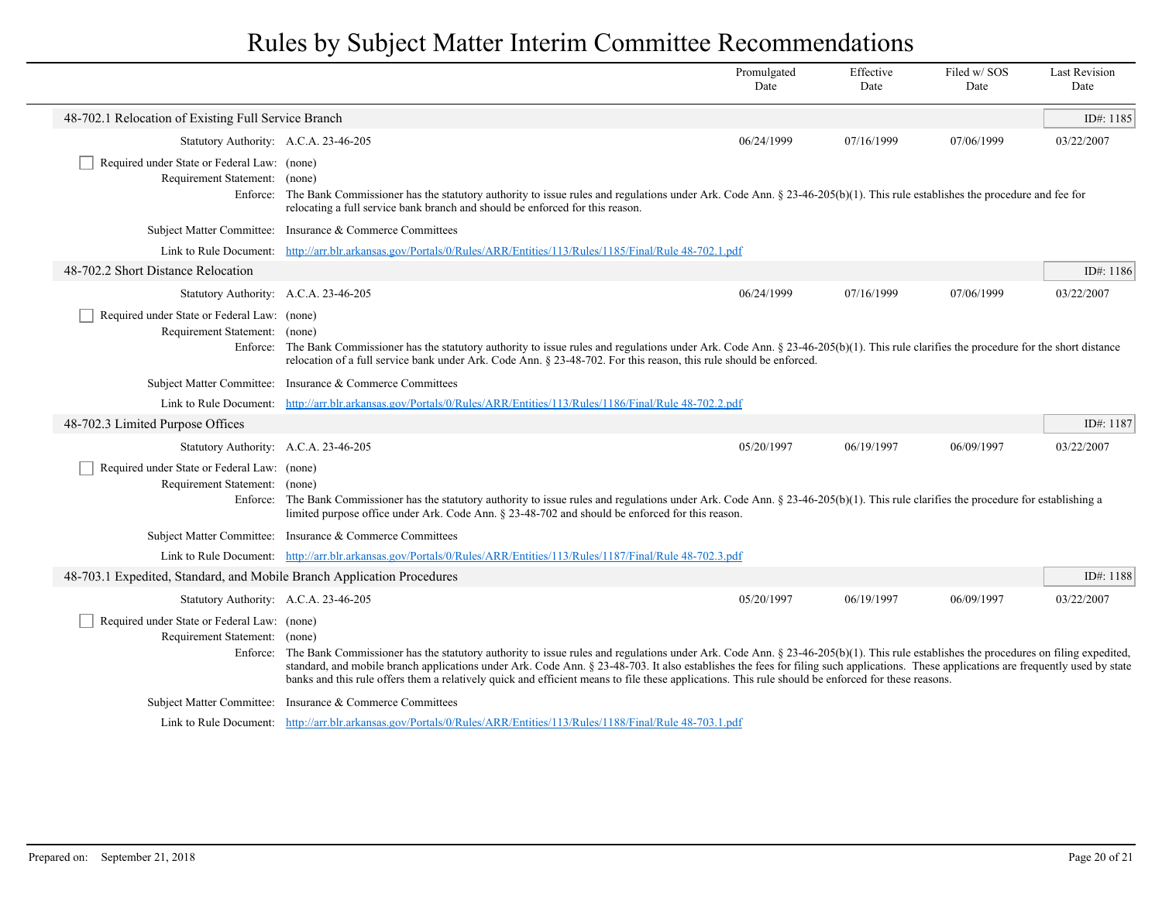|                                                                              |                                                                                                                                                                                                                                                                                                                                                                                                                                                                                                                                            | Promulgated<br>Date | Effective<br>Date | Filed w/SOS<br>Date | <b>Last Revision</b><br>Date |
|------------------------------------------------------------------------------|--------------------------------------------------------------------------------------------------------------------------------------------------------------------------------------------------------------------------------------------------------------------------------------------------------------------------------------------------------------------------------------------------------------------------------------------------------------------------------------------------------------------------------------------|---------------------|-------------------|---------------------|------------------------------|
| 48-702.1 Relocation of Existing Full Service Branch                          |                                                                                                                                                                                                                                                                                                                                                                                                                                                                                                                                            |                     |                   |                     | ID#: 1185                    |
| Statutory Authority: A.C.A. 23-46-205                                        |                                                                                                                                                                                                                                                                                                                                                                                                                                                                                                                                            | 06/24/1999          | 07/16/1999        | 07/06/1999          | 03/22/2007                   |
| Required under State or Federal Law: (none)<br>Requirement Statement:        | (none)<br>Enforce: The Bank Commissioner has the statutory authority to issue rules and regulations under Ark. Code Ann. § 23-46-205(b)(1). This rule establishes the procedure and fee for<br>relocating a full service bank branch and should be enforced for this reason.                                                                                                                                                                                                                                                               |                     |                   |                     |                              |
|                                                                              | Subject Matter Committee: Insurance & Commerce Committees                                                                                                                                                                                                                                                                                                                                                                                                                                                                                  |                     |                   |                     |                              |
|                                                                              | Link to Rule Document: http://arr.blr.arkansas.gov/Portals/0/Rules/ARR/Entities/113/Rules/1185/Final/Rule 48-702.1.pdf                                                                                                                                                                                                                                                                                                                                                                                                                     |                     |                   |                     |                              |
| 48-702.2 Short Distance Relocation                                           |                                                                                                                                                                                                                                                                                                                                                                                                                                                                                                                                            |                     |                   |                     | ID#: $1186$                  |
| Statutory Authority: A.C.A. 23-46-205                                        |                                                                                                                                                                                                                                                                                                                                                                                                                                                                                                                                            | 06/24/1999          | 07/16/1999        | 07/06/1999          | 03/22/2007                   |
| Required under State or Federal Law: (none)<br>Requirement Statement: (none) | Enforce: The Bank Commissioner has the statutory authority to issue rules and regulations under Ark. Code Ann. $\S 23-46-205(b)(1)$ . This rule clarifies the procedure for the short distance<br>relocation of a full service bank under Ark. Code Ann. § 23-48-702. For this reason, this rule should be enforced.                                                                                                                                                                                                                       |                     |                   |                     |                              |
|                                                                              | Subject Matter Committee: Insurance & Commerce Committees                                                                                                                                                                                                                                                                                                                                                                                                                                                                                  |                     |                   |                     |                              |
|                                                                              | Link to Rule Document: http://arr.blr.arkansas.gov/Portals/0/Rules/ARR/Entities/113/Rules/1186/Final/Rule 48-702.2.pdf                                                                                                                                                                                                                                                                                                                                                                                                                     |                     |                   |                     |                              |
| 48-702.3 Limited Purpose Offices                                             |                                                                                                                                                                                                                                                                                                                                                                                                                                                                                                                                            |                     |                   |                     | ID#: 1187                    |
| Statutory Authority: A.C.A. 23-46-205                                        |                                                                                                                                                                                                                                                                                                                                                                                                                                                                                                                                            | 05/20/1997          | 06/19/1997        | 06/09/1997          | 03/22/2007                   |
| Required under State or Federal Law: (none)<br>Requirement Statement: (none) | Enforce: The Bank Commissioner has the statutory authority to issue rules and regulations under Ark. Code Ann. § 23-46-205(b)(1). This rule clarifies the procedure for establishing a<br>limited purpose office under Ark. Code Ann. § 23-48-702 and should be enforced for this reason.                                                                                                                                                                                                                                                  |                     |                   |                     |                              |
|                                                                              | Subject Matter Committee: Insurance & Commerce Committees                                                                                                                                                                                                                                                                                                                                                                                                                                                                                  |                     |                   |                     |                              |
|                                                                              | Link to Rule Document: http://arr.blr.arkansas.gov/Portals/0/Rules/ARR/Entities/113/Rules/1187/Final/Rule 48-702.3.pdf                                                                                                                                                                                                                                                                                                                                                                                                                     |                     |                   |                     |                              |
| 48-703.1 Expedited, Standard, and Mobile Branch Application Procedures       |                                                                                                                                                                                                                                                                                                                                                                                                                                                                                                                                            |                     |                   |                     | ID#: 1188                    |
| Statutory Authority: A.C.A. 23-46-205                                        |                                                                                                                                                                                                                                                                                                                                                                                                                                                                                                                                            | 05/20/1997          | 06/19/1997        | 06/09/1997          | 03/22/2007                   |
| Required under State or Federal Law: (none)<br>Requirement Statement: (none) | Enforce: The Bank Commissioner has the statutory authority to issue rules and regulations under Ark. Code Ann. § 23-46-205(b)(1). This rule establishes the procedures on filing expedited,<br>standard, and mobile branch applications under Ark. Code Ann. § 23-48-703. It also establishes the fees for filing such applications. These applications are frequently used by state<br>banks and this rule offers them a relatively quick and efficient means to file these applications. This rule should be enforced for these reasons. |                     |                   |                     |                              |
|                                                                              | Subject Matter Committee: Insurance & Commerce Committees                                                                                                                                                                                                                                                                                                                                                                                                                                                                                  |                     |                   |                     |                              |
|                                                                              | Link to Rule Document: http://arr.blr.arkansas.gov/Portals/0/Rules/ARR/Entities/113/Rules/1188/Final/Rule 48-703.1.pdf                                                                                                                                                                                                                                                                                                                                                                                                                     |                     |                   |                     |                              |